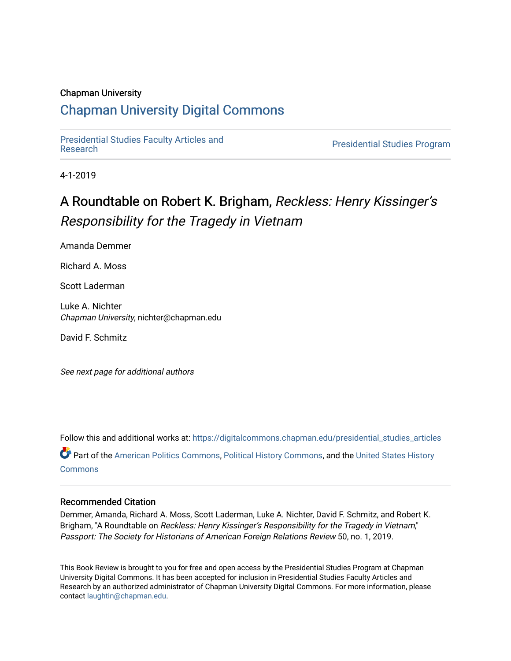### Chapman University

# [Chapman University Digital Commons](https://digitalcommons.chapman.edu/)

[Presidential Studies Faculty Articles and](https://digitalcommons.chapman.edu/presidential_studies_articles) 

**Presidential Studies Program** 

4-1-2019

# A Roundtable on Robert K. Brigham, Reckless: Henry Kissinger's Responsibility for the Tragedy in Vietnam

Amanda Demmer

Richard A. Moss

Scott Laderman

Luke A. Nichter Chapman University, nichter@chapman.edu

David F. Schmitz

See next page for additional authors

Follow this and additional works at: [https://digitalcommons.chapman.edu/presidential\\_studies\\_articles](https://digitalcommons.chapman.edu/presidential_studies_articles?utm_source=digitalcommons.chapman.edu%2Fpresidential_studies_articles%2F12&utm_medium=PDF&utm_campaign=PDFCoverPages)  Part of the [American Politics Commons,](http://network.bepress.com/hgg/discipline/387?utm_source=digitalcommons.chapman.edu%2Fpresidential_studies_articles%2F12&utm_medium=PDF&utm_campaign=PDFCoverPages) [Political History Commons,](http://network.bepress.com/hgg/discipline/505?utm_source=digitalcommons.chapman.edu%2Fpresidential_studies_articles%2F12&utm_medium=PDF&utm_campaign=PDFCoverPages) and the [United States History](http://network.bepress.com/hgg/discipline/495?utm_source=digitalcommons.chapman.edu%2Fpresidential_studies_articles%2F12&utm_medium=PDF&utm_campaign=PDFCoverPages) **[Commons](http://network.bepress.com/hgg/discipline/495?utm_source=digitalcommons.chapman.edu%2Fpresidential_studies_articles%2F12&utm_medium=PDF&utm_campaign=PDFCoverPages)** 

### Recommended Citation

Demmer, Amanda, Richard A. Moss, Scott Laderman, Luke A. Nichter, David F. Schmitz, and Robert K. Brigham, "A Roundtable on Reckless: Henry Kissinger's Responsibility for the Tragedy in Vietnam," Passport: The Society for Historians of American Foreign Relations Review 50, no. 1, 2019.

This Book Review is brought to you for free and open access by the Presidential Studies Program at Chapman University Digital Commons. It has been accepted for inclusion in Presidential Studies Faculty Articles and Research by an authorized administrator of Chapman University Digital Commons. For more information, please contact [laughtin@chapman.edu](mailto:laughtin@chapman.edu).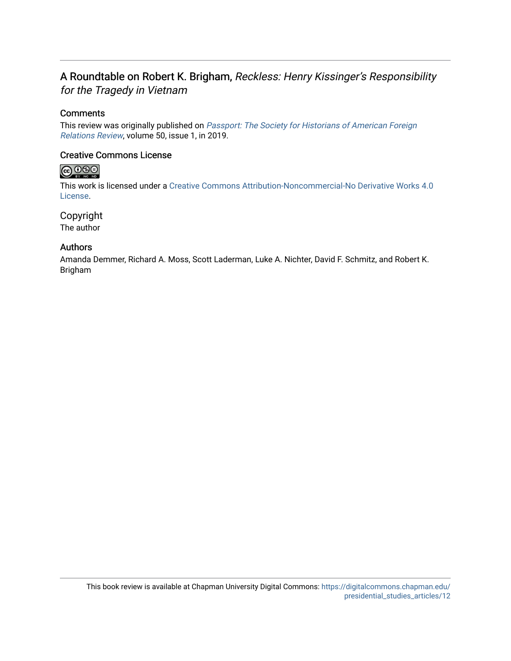# A Roundtable on Robert K. Brigham, Reckless: Henry Kissinger's Responsibility for the Tragedy in Vietnam

## **Comments**

This review was originally published on [Passport: The Society for Historians of American Foreign](https://shafr.org/passport)  [Relations Review](https://shafr.org/passport), volume 50, issue 1, in 2019.

## Creative Commons License

# $\bigcirc$  000

This work is licensed under a [Creative Commons Attribution-Noncommercial-No Derivative Works 4.0](https://creativecommons.org/licenses/by-nc-nd/4.0/) [License](https://creativecommons.org/licenses/by-nc-nd/4.0/).

Copyright The author

### Authors

Amanda Demmer, Richard A. Moss, Scott Laderman, Luke A. Nichter, David F. Schmitz, and Robert K. Brigham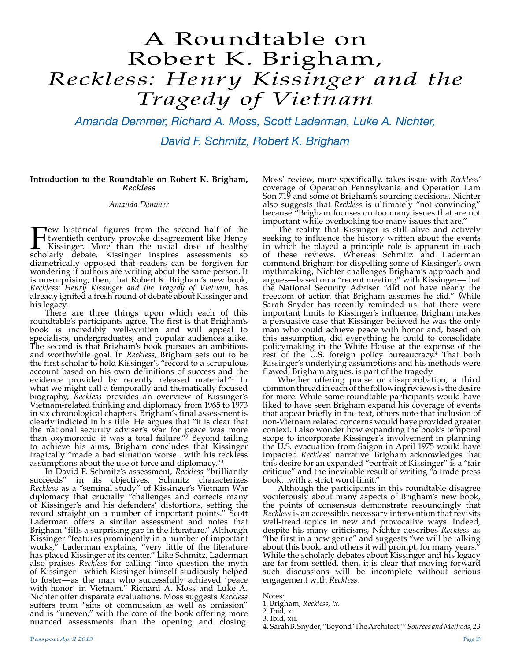# A Roundtable on Robert K. Brigham, *Reckless: Henry Kissinger and the Tragedy of Vietnam*

*Amanda Demmer, Richard A. Moss, Scott Laderman, Luke A. Nichter, David F. Schmitz, Robert K. Brigham*

#### **Introduction to the Roundtable on Robert K. Brigham,**  *Reckless*

#### *Amanda Demmer*

**Few historical figures from the second half of the twentieth century provoke disagreement like Henry Kissinger. More than the usual dose of healthy scholarly debate, Kissinger inspires assessments so** twentieth century provoke disagreement like Henry Kissinger. More than the usual dose of healthy scholarly debate, Kissinger inspires assessments so diametrically opposed that readers can be forgiven for wondering if authors are writing about the same person. It is unsurprising, then, that Robert K. Brigham's new book, *Reckless: Henry Kissinger and the Tragedy of Vietnam*, has already ignited a fresh round of debate about Kissinger and his legacy.

There are three things upon which each of this roundtable's participants agree. The first is that Brigham's book is incredibly well-written and will appeal to specialists, undergraduates, and popular audiences alike. The second is that Brigham's book pursues an ambitious and worthwhile goal. In *Reckless,* Brigham sets out to be the first scholar to hold Kissinger's "record to a scrupulous account based on his own definitions of success and the evidence provided by recently released material."<sup>1</sup> In what we might call a temporally and thematically focused biography, *Reckless* provides an overview of Kissinger's Vietnam-related thinking and diplomacy from 1965 to 1973 in six chronological chapters. Brigham's final assessment is clearly indicted in his title. He argues that "it is clear that the national security adviser's war for peace was more than oxymoronic: it was a total failure."<sup>2</sup> Beyond failing to achieve his aims, Brigham concludes that Kissinger tragically "made a bad situation worse…with his reckless assumptions about the use of force and diplomacy."<sup>3</sup>

In David F. Schmitz's assessment, *Reckless* "brilliantly succeeds" in its objectives. Schmitz characterizes *Reckless* as a "seminal study" of Kissinger's Vietnam War diplomacy that crucially "challenges and corrects many of Kissinger's and his defenders' distortions, setting the record straight on a number of important points." Scott Laderman offers a similar assessment and notes that Brigham "fills a surprising gap in the literature." Although Kissinger "features prominently in a number of important works," Laderman explains, "very little of the literature has placed Kissinger at its center." Like Schmitz, Laderman also praises *Reckless* for calling "into question the myth of Kissinger—which Kissinger himself studiously helped to foster—as the man who successfully achieved 'peace with honor' in Vietnam." Richard A. Moss and Luke A. Nichter offer disparate evaluations. Moss suggests *Reckless*  suffers from "sins of commission as well as omission" and is "uneven," with the core of the book offering more nuanced assessments than the opening and closing.

Moss' review, more specifically, takes issue with *Reckless'* coverage of Operation Pennsylvania and Operation Lam Son 719 and some of Brigham's sourcing decisions. Nichter also suggests that *Reckless* is ultimately "not convincing" because "Brigham focuses on too many issues that are not important while overlooking too many issues that are."

The reality that Kissinger is still alive and actively seeking to influence the history written about the events in which he played a principle role is apparent in each of these reviews. Whereas Schmitz and Laderman commend Brigham for dispelling some of Kissinger's own mythmaking, Nichter challenges Brigham's approach and argues—based on a "recent meeting" with Kissinger—that the National Security Adviser "did not have nearly the freedom of action that Brigham assumes he did." While Sarah Snyder has recently reminded us that there were important limits to Kissinger's influence, Brigham makes a persuasive case that Kissinger believed he was the only man who could achieve peace with honor and, based on this assumption, did everything he could to consolidate policymaking in the White House at the expense of the rest of the U.S. foreign policy bureaucracy.<sup>4</sup> That both Kissinger's underlying assumptions and his methods were flawed, Brigham argues, is part of the tragedy.

Whether offering praise or disapprobation, a third common thread in each of the following reviews is the desire for more. While some roundtable participants would have liked to have seen Brigham expand his coverage of events that appear briefly in the text, others note that inclusion of non-Vietnam related concerns would have provided greater context. I also wonder how expanding the book's temporal scope to incorporate Kissinger's involvement in planning the U.S. evacuation from Saigon in April 1975 would have impacted Reckless' narrative. Brigham acknowledges that impacted *Reckless'* narrative. Brigham acknowledges that<br>this desire for an expanded "portrait of Kissinger" is a "fair critique" and the inevitable result of writing "a trade press

book...with a strict word limit."<br>Although the participants in this roundtable disagree vociferously about many aspects of Brigham's new book, the points of consensus demonstrate resoundingly that Reckless is an accessible, necessary intervention that revisits well-tread topics in new and provocative ways. Indeed, despite his many criticisms, Nichter describes *Reckless* as "the first in a new genre" and suggests "we will be talking about this book, and others it will prompt, for many years." While the scholarly debates about Kissinger and his legacy are far from settled, then, it is clear that moving forward such discussions will be incomplete without serious engagement with *Reckless.*

Notes:

<sup>1.</sup> Brigham, *Reckless, ix.* 

<sup>2.</sup> Ibid, xi.

<sup>3.</sup> Ibid, xii.

<sup>4.</sup> Sarah B. Snyder, "Beyond 'The Architect,'" *Sources and Methods, 23*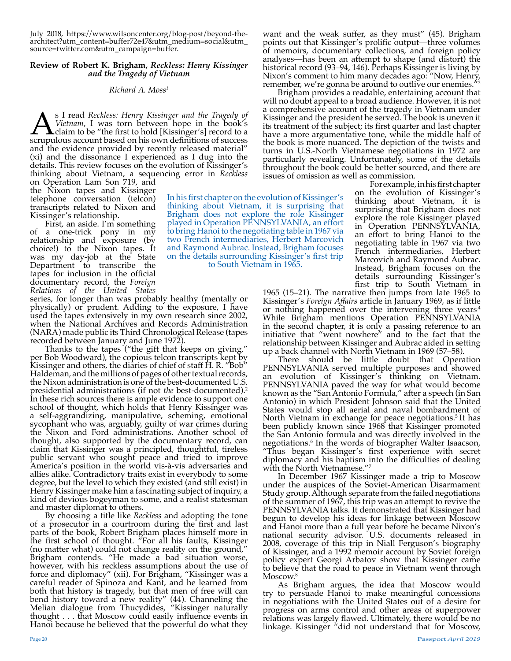July 2018, https://www.wilsoncenter.org/blog-post/beyond-thearchitect?utm\_content=buffer72e47&utm\_medium=social&utm\_ source=twitter.com&utm\_campaign=buffer.

#### **Review of Robert K. Brigham,** *Reckless: Henry Kissinger and the Tragedy of Vietnam*

#### *Richard A. Moss1*

**As I read** *Reckless: Henry Kissinger and the Tragedy of Vietnam***, I was torn between hope in the book's claim to be "the first to hold [Kissinger's] record to a scrupulous account based on his own definitions of success** *Vietnam*, I was torn between hope in the book's claim to be "the first to hold [Kissinger's] record to a scrupulous account based on his own definitions of success and the evidence provided by recently released material" (xi) and the dissonance I experienced as I dug into the details. This review focuses on the evolution of Kissinger's thinking about Vietnam, a sequencing error in *Reckless*

on Operation Lam Son 719, and the Nixon tapes and Kissinger telephone conversation (telcon) transcripts related to Nixon and Kissinger's relationship.

First, an aside. I'm something of a one-trick pony in my relationship and exposure (by choice!) to the Nixon tapes. It was my day-job at the State Department to transcribe the tapes for inclusion in the official documentary record, the *Foreign Relations of the United States* 

series, for longer than was probably healthy (mentally or physically) or prudent. Adding to the exposure, I have used the tapes extensively in my own research since 2002, when the National Archives and Records Administration (NARA) made public its Third Chronological Release (tapes recorded between January and June 1972).

Thanks to the tapes ("the gift that keeps on giving," per Bob Woodward), the copious telcon transcripts kept by Kissinger and others, the diaries of chief of staff H. R. "Bob" Haldeman, and the millions of pages of other textual records, the Nixon administration is one of the best-documented U.S. presidential administrations (if not *the* best-documented).2 In these rich sources there is ample evidence to support one school of thought, which holds that Henry Kissinger was a self-aggrandizing, manipulative, scheming, emotional sycophant who was, arguably, guilty of war crimes during the Nixon and Ford administrations. Another school of thought, also supported by the documentary record, can claim that Kissinger was a principled, thoughtful, tireless public servant who sought peace and tried to improve America's position in the world vis-à-vis adversaries and allies alike. Contradictory traits exist in everybody to some degree, but the level to which they existed (and still exist) in Henry Kissinger make him a fascinating subject of inquiry, a kind of devious bogeyman to some, and a realist statesman and master diplomat to others.

By choosing a title like *Reckless* and adopting the tone of a prosecutor in a courtroom during the first and last parts of the book, Robert Brigham places himself more in the first school of thought. "For all his faults, Kissinger (no matter what) could not change reality on the ground," Brigham contends. "He made a bad situation worse, however, with his reckless assumptions about the use of force and diplomacy" (xii). For Brigham, "Kissinger was a careful reader of Spinoza and Kant, and he learned from both that history is tragedy, but that men of free will can bend history toward a new reality" (44). Channeling the Melian dialogue from Thucydides, "Kissinger naturally thought . . . that Moscow could easily influence events in Hanoi because he believed that the powerful do what they

want and the weak suffer, as they must" (45). Brigham points out that Kissinger's prolific output—three volumes of memoirs, documentary collections, and foreign policy analyses—has been an attempt to shape (and distort) the historical record (93–94, 146). Perhaps Kissinger is living by Nixon's comment to him many decades ago: "Now, Henry, remember, we're gonna be around to outlive our enemies.

Brigham provides a readable, entertaining account that will no doubt appeal to a broad audience. However, it is not a comprehensive account of the tragedy in Vietnam under Kissinger and the president he served. The book is uneven it its treatment of the subject; its first quarter and last chapter have a more argumentative tone, while the middle half of the book is more nuanced. The depiction of the twists and turns in U.S.-North Vietnamese negotiations in 1972 are particularly revealing. Unfortunately, some of the details throughout the book could be better sourced, and there are issues of omission as well as commission.

In his first chapter on the evolution of Kissinger's thinking about Vietnam, it is surprising that Brigham does not explore the role Kissinger played in Operation PENNSYLVANIA, an effort to bring Hanoi to the negotiating table in 1967 via two French intermediaries, Herbert Marcovich and Raymond Aubrac. Instead, Brigham focuses on the details surrounding Kissinger's first trip to South Vietnam in 1965.

For example, in his first chapter on the evolution of Kissinger's thinking about Vietnam, it is surprising that Brigham does not explore the role Kissinger played in Operation PENNSYLVANIA, an effort to bring Hanoi to the negotiating table in 1967 via two French intermediaries, Herbert Marcovich and Raymond Aubrac. Instead, Brigham focuses on the details surrounding Kissinger's first trip to South Vietnam in

1965 (15–21). The narrative then jumps from late 1965 to Kissinger's *Foreign Affairs* article in January 1969, as if little or nothing happened over the intervening three years<sup> $4$ </sup> While Brigham mentions Operation PENNSYLVANIA in the second chapter, it is only a passing reference to an initiative that "went nowhere" and to the fact that the relationship between Kissinger and Aubrac aided in setting up a back channel with North Vietnam in 1969 (57–58).

There should be little doubt that Operation PENNSYLVANIA served multiple purposes and showed an evolution of Kissinger's thinking on Vietnam. PENNSYLVANIA paved the way for what would become known as the "San Antonio Formula," after a speech (in San Antonio) in which President Johnson said that the United States would stop all aerial and naval bombardment of North Vietnam in exchange for peace negotiations.<sup>5</sup> It has been publicly known since 1968 that Kissinger promoted the San Antonio formula and was directly involved in the negotiations.<sup>6</sup> In the words of biographer Walter Isaacson, "Thus began Kissinger's first experience with secret diplomacy and his baptism into the difficulties of dealing with the North Vietnamese."<sup>7</sup>

In December 1967 Kissinger made a trip to Moscow under the auspices of the Soviet-American Disarmament Study group. Although separate from the failed negotiations of the summer of 1967, this trip was an attempt to revive the PENNSYLVANIA talks. It demonstrated that Kissinger had begun to develop his ideas for linkage between Moscow and Hanoi more than a full year before he became Nixon's national security advisor. U.S. documents released in 2008, coverage of this trip in Niall Ferguson's biography of Kissinger, and a 1992 memoir account by Soviet foreign policy expert Georgi Arbatov show that Kissinger came to believe that the road to peace in Vietnam went through

Moscow.<sup>8</sup><br>As Brigham argues, the idea that Moscow would try to persuade Hanoi to make meaningful concessions in negotiations with the United States out of a desire for progress on arms control and other areas of superpower relations was largely flawed. Ultimately, there would be no linkage. Kissinger "did not understand that for Moscow,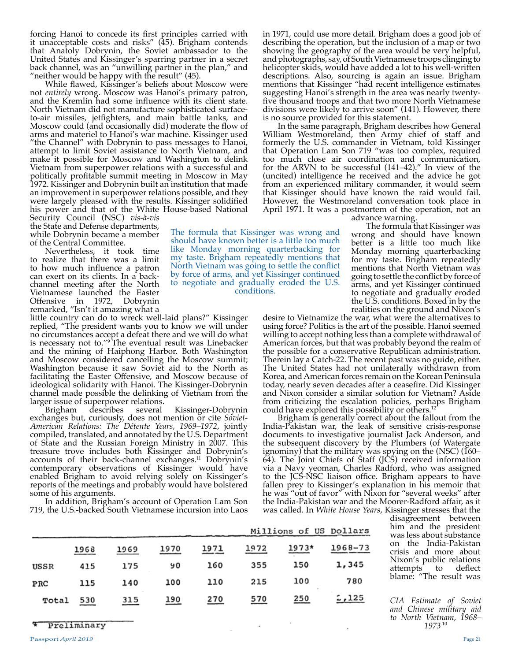forcing Hanoi to concede its first principles carried with it unacceptable costs and risks" (45). Brigham contends that Anatoly Dobrynin, the Soviet ambassador to the United States and Kissinger's sparring partner in a secret back channel, was an "unwilling partner in the plan," and "neither would be happy with the result" (45).

While flawed, Kissinger's beliefs about Moscow were not *entirely* wrong. Moscow was Hanoi's primary patron, and the Kremlin had some influence with its client state. North Vietnam did not manufacture sophisticated surfaceto-air missiles, jetfighters, and main battle tanks, and Moscow could (and occasionally did) moderate the flow of arms and materiel to Hanoi's war machine. Kissinger used "the Channel" with Dobrynin to pass messages to Hanoi, attempt to limit Soviet assistance to North Vietnam, and make it possible for Moscow and Washington to delink Vietnam from superpower relations with a successful and politically profitable summit meeting in Moscow in May 1972. Kissinger and Dobrynin built an institution that made an improvement in superpower relations possible, and they were largely pleased with the results. Kissinger solidified his power and that of the White House-based National Security Council (NSC) *vis-à-vis*  the State and Defense departments,

while Dobrynin became a member of the Central Committee.

Nevertheless, it took time to realize that there was a limit to how much influence a patron can exert on its clients. In a backchannel meeting after the North Vietnamese launched the Easter Offensive in 1972, remarked, "Isn't it amazing what a

little country can do to wreck well-laid plans?" Kissinger replied, "The president wants you to know we will under no circumstances accept a defeat there and we will do what is necessary not to."<sup>9</sup> The eventual result was Linebacker and the mining of Haiphong Harbor. Both Washington and Moscow considered cancelling the Moscow summit; Washington because it saw Soviet aid to the North as facilitating the Easter Offensive, and Moscow because of ideological solidarity with Hanoi. The Kissinger-Dobrynin channel made possible the delinking of Vietnam from the larger issue of superpower relations.

Brigham describes several Kissinger-Dobrynin exchanges but, curiously, does not mention or cite *Soviet-American Relations: The Détente Years*, 1969–1972, jointly compiled, translated, and annotated by the U.S. Department of State and the Russian Foreign Ministry in 2007. This treasure trove includes both Kissinger and Dobrynin's accounts of their back-channel exchanges.<sup>11</sup> Dobrynin's contemporary observations of Kissinger would have enabled Brigham to avoid relying solely on Kissinger's reports of the meetings and probably would have bolstered some of his arguments.

In addition, Brigham's account of Operation Lam Son 719, the U.S.-backed South Vietnamese incursion into Laos

in 1971, could use more detail. Brigham does a good job of describing the operation, but the inclusion of a map or two showing the geography of the area would be very helpful, and photographs, say, of South Vietnamese troops clinging to helicopter skids, would have added a lot to his well-written descriptions. Also, sourcing is again an issue. Brigham mentions that Kissinger "had recent intelligence estimates suggesting Hanoi's strength in the area was nearly twentyfive thousand troops and that two more North Vietnamese divisions were likely to arrive soon" (141). However, there is no source provided for this statement.

In the same paragraph, Brigham describes how General William Westmoreland, then Army chief of staff and formerly the U.S. commander in Vietnam, told Kissinger that Operation Lam Son 719 "was too complex, required too much close air coordination and communication, for the ARVN to be successful (141–42)." In view of the (uncited) intelligence he received and the advice he got from an experienced military commander, it would seem that Kissinger should have known the raid would fail. However, the Westmoreland conversation took place in April 1971. It was a postmortem of the operation, not an

The formula that Kissinger was wrong and should have known better is a little too much like Monday morning quarterbacking for my taste. Brigham repeatedly mentions that North Vietnam was going to settle the conflict by force of arms, and yet Kissinger continued to negotiate and gradually eroded the U.S. conditions. advance warning.

The formula that Kissinger was wrong and should have known better is a little too much like Monday morning quarterbacking for my taste. Brigham repeatedly mentions that North Vietnam was going to settle the conflict by force of arms, and yet Kissinger continued to negotiate and gradually eroded the U.S. conditions. Boxed in by the realities on the ground and Nixon's

desire to Vietnamize the war, what were the alternatives to using force? Politics is the art of the possible. Hanoi seemed willing to accept nothing less than a complete withdrawal of American forces, but that was probably beyond the realm of the possible for a conservative Republican administration. Therein lay a Catch-22. The recent past was no guide, either. The United States had not unilaterally withdrawn from Korea, and American forces remain on the Korean Peninsula today, nearly seven decades after a ceasefire. Did Kissinger and Nixon consider a similar solution for Vietnam? Aside from criticizing the escalation policies, perhaps Brigham could have explored this possibility or others.12

Brigham is generally correct about the fallout from the India-Pakistan war, the leak of sensitive crisis-response documents to investigative journalist Jack Anderson, and the subsequent discovery by the Plumbers (of Watergate ignominy) that the military was spying on the (NSC) (160– 64). The Joint Chiefs of Staff (JCS) received information via a Navy yeoman, Charles Radford, who was assigned to the JCS-NSC liaison office. Brigham appears to have fallen prey to Kissinger's explanation in his memoir that he was "out of favor" with Nixon for "several weeks" after the India-Pakistan war and the Moorer-Radford affair, as it was called. In *White House Years*, Kissinger stresses that the disagreement between

|       |      |      |      |      | Millions of US Dollars |       |         |
|-------|------|------|------|------|------------------------|-------|---------|
|       | 1968 | 1969 | 1970 | 1971 | 1972                   | 1973* | 1968-73 |
| USSR  | 415  | 175  | 90   | 160  | 355                    | 150   | 1,345   |
| PRC   | 115  | 140  | 100  | 110  | 215                    | 100   | 780     |
| Total | 530  | 315  | 190  | 270  | 570                    | 250   | 1,125   |

Preliminary

Passport *April 2019* Page 21

him and the president was less about substance on the India-Pakistan crisis and more about Nixon's public relations<br>attempts to deflect

blame: "The result was

*CIA Estimate of Soviet and Chinese military aid to North Vietnam, 1968– 1973*.10

attempts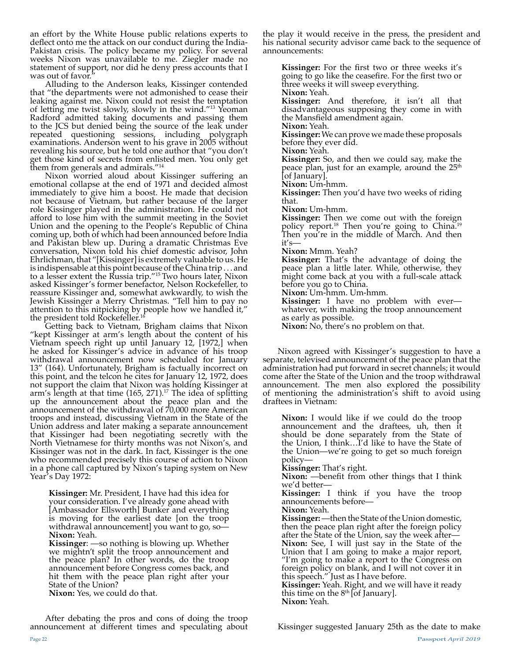an effort by the White House public relations experts to deflect onto me the attack on our conduct during the India-Pakistan crisis. The policy became my policy. For several weeks Nixon was unavailable to me. Ziegler made no statement of support, nor did he deny press accounts that I was out of favor."

Alluding to the Anderson leaks, Kissinger contended that "the departments were not admonished to cease their leaking against me. Nixon could not resist the temptation of letting me twist slowly, slowly in the wind."13 Yeoman Radford admitted taking documents and passing them to the JCS but denied being the source of the leak under repeated questioning sessions, including polygraph examinations. Anderson went to his grave in 2005 without revealing his source, but he told one author that "you don't get those kind of secrets from enlisted men. You only get them from generals and admirals."<sup>14</sup>

Nixon worried aloud about Kissinger suffering an emotional collapse at the end of 1971 and decided almost immediately to give him a boost. He made that decision not because of Vietnam, but rather because of the larger role Kissinger played in the administration. He could not afford to lose him with the summit meeting in the Soviet Union and the opening to the People's Republic of China coming up, both of which had been announced before India and Pakistan blew up. During a dramatic Christmas Eve conversation, Nixon told his chief domestic advisor, John Ehrlichman, that "[Kissinger] is extremely valuable to us. He is indispensable at this point because of the China trip . . . and to a lesser extent the Russia trip."15 Two hours later, Nixon asked Kissinger's former benefactor, Nelson Rockefeller, to reassure Kissinger and, somewhat awkwardly, to wish the Jewish Kissinger a Merry Christmas. "Tell him to pay no attention to this nitpicking by people how we handled it," the president told Rockefeller.<sup>16</sup>

Getting back to Vietnam, Brigham claims that Nixon "kept Kissinger at arm's length about the content of his Vietnam speech right up until January 12, [1972,] when he asked for Kissinger's advice in advance of his troop withdrawal announcement now scheduled for January 13" (164). Unfortunately, Brigham is factually incorrect on this point, and the telcon he cites for January 12, 1972, does not support the claim that Nixon was holding Kissinger at arm's length at that time  $(165, 271).$ <sup>17</sup> The idea of splitting arm's length at that time (165, 271).17 The idea of splitting up the announcement about the peace plan and the announcement of the withdrawal of 70,000 more American troops and instead, discussing Vietnam in the State of the Union address and later making a separate announcement that Kissinger had been negotiating secretly with the North Vietnamese for thirty months was not Nixon's, and Kissinger was not in the dark. In fact, Kissinger is the one who recommended precisely this course of action to Nixon in a phone call captured by Nixon's taping system on New Year's Day 1972:

**Kissinger:** Mr. President, I have had this idea for your consideration. I've already gone ahead with [Ambassador Ellsworth] Bunker and everything is moving for the earliest date [on the troop withdrawal announcement] you want to go, so-**Nixon:** Yeah.

**Kissinger**: —so nothing is blowing up. Whether we mightn't split the troop announcement and the peace plan? In other words, do the troop announcement before Congress comes back, and hit them with the peace plan right after your State of the Union?

**Nixon:** Yes, we could do that.

After debating the pros and cons of doing the troop announcement at different times and speculating about the play it would receive in the press, the president and his national security advisor came back to the sequence of announcements:

**Kissinger:** For the first two or three weeks it's going to go like the ceasefire. For the first two or three weeks it will sweep everything. **Nixon:** Yeah.

**Kissinger:** And therefore, it isn't all that disadvantageous supposing they come in with the Mansfield amendment again.

**Nixon:** Yeah.

**Kissinger:** We can prove we made these proposals before they ever did.

**Nixon:** Yeah.

**Kissinger:** So, and then we could say, make the peace plan, just for an example, around the  $25<sup>th</sup>$ [of January].

**Nixon:** Um-hmm.

**Kissinger:** Then you'd have two weeks of riding that.

**Nixon:** Um-hmm.

**Kissinger:** Then we come out with the foreign policy report.18 Then you're going to China.<sup>19</sup> Then you're in the middle of March. And then it's—

**Nixon:** Mmm. Yeah?

**Kissinger:** That's the advantage of doing the peace plan a little later. While, otherwise, they might come back at you with a full-scale attack before you go to China.

**Nixon:** Um-hmm. Um-hmm.

**Kissinger:** I have no problem with ever whatever, with making the troop announcement as early as possible.

**Nixon:** No, there's no problem on that.

Nixon agreed with Kissinger's suggestion to have a separate, televised announcement of the peace plan that the administration had put forward in secret channels; it would come after the State of the Union and the troop withdrawal announcement. The men also explored the possibility of mentioning the administration's shift to avoid using draftees in Vietnam:

**Nixon:** I would like if we could do the troop announcement and the draftees, uh, then it should be done separately from the State of the Union, I think…I'd like to have the State of the Union—we're going to get so much foreign policy—

**Kissinger:** That's right.

**Nixon:** —benefit from other things that I think we'd better—

**Kissinger:** I think if you have the troop announcements before—

**Nixon:** Yeah.

**Kissinger:** —then the State of the Union domestic, then the peace plan right after the foreign policy after the State of the Union, say the week after— **Nixon:** See, I will just say in the State of the Union that I am going to make a major report, "I'm going to make a report to the Congress on foreign policy on blank, and I will not cover it in this speech." Just as I have before.

**Kissinger:** Yeah. Right, and we will have it ready this time on the  $8^{\text{th}}$  [of January]. **Nixon:** Yeah.

Page 22 Passport *April 2019* Kissinger suggested January 25th as the date to make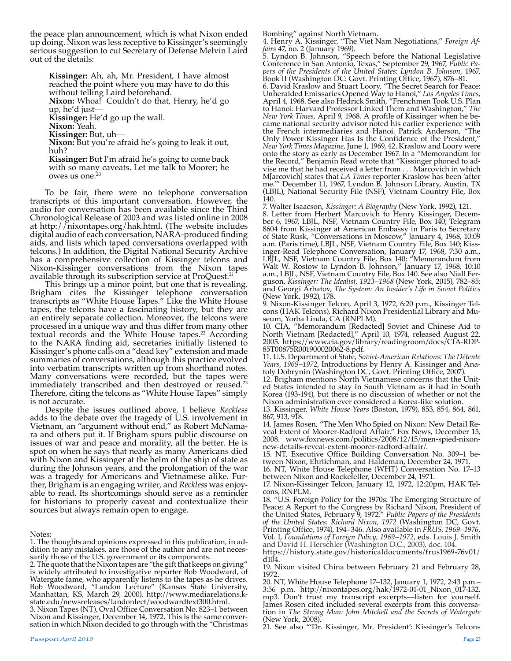the peace plan announcement, which is what Nixon ended up doing. Nixon was less receptive to Kissinger's seemingly serious suggestion to cut Secretary of Defense Melvin Laird out of the details:

**Kissinger:** Ah, ah, Mr. President, I have almost reached the point where you may have to do this without telling Laird beforehand. **Nixon:** Whoa! Couldn't do that, Henry, he'd go up, he'd just— **Kissinger:** He'd go up the wall. **Nixon:** Yeah. **Kissinger:** But, uh— **Nixon:** But you're afraid he's going to leak it out, huh? **Kissinger:** But I'm afraid he's going to come back

with so many caveats. Let me talk to Moorer; he owes us one.<sup>21</sup>

To be fair, there were no telephone conversation transcripts of this important conversation. However, the audio for conversation has been available since the Third Chronological Release of 2003 and was listed online in 2008 at http://nixontapes.org/hak.html. (The website includes digital audio of each conversation, NARA-produced finding aids, and lists which taped conversations overlapped with telcons.) In addition, the Digital National Security Archive has a comprehensive collection of Kissinger telcons and Nixon-Kissinger conversations from the Nixon tapes available through its subscription service at ProQuest.<sup>21</sup>

This brings up a minor point, but one that is revealing. Brigham cites the Kissinger telephone conversation transcripts as "White House Tapes." Like the White House tapes, the telcons have a fascinating history, but they are an entirely separate collection. Moreover, the telcons were processed in a unique way and thus differ from many other textual records and the White House tapes.<sup>22</sup> According to the NARA finding aid, secretaries initially listened to Kissinger's phone calls on a "dead key" extension and made summaries of conversations, although this practice evolved into verbatim transcripts written up from shorthand notes. Many conversations were recorded, but the tapes were immediately transcribed and then destroyed or reused.<sup>23</sup> Therefore, citing the telcons as "White House Tapes" simply is not accurate.

Despite the issues outlined above, I believe *Reckless*  adds to the debate over the tragedy of U.S. involvement in Vietnam, an "argument without end," as Robert McNamara and others put it. If Brigham spurs public discourse on issues of war and peace and morality, all the better. He is spot on when he says that nearly as many Americans died with Nixon and Kissinger at the helm of the ship of state as during the Johnson years, and the prolongation of the war was a tragedy for Americans and Vietnamese alike. Further, Brigham is an engaging writer, and *Reckless* was enjoyable to read. Its shortcomings should serve as a reminder for historians to properly caveat and contextualize their sources but always remain open to engage.

3. Nixon Tapes (NT), Oval Office Conversation No. 823–1 between Nixon and Kissinger, December 14, 1972. This is the same conversation in which Nixon decided to go through with the "Christmas Bombing" against North Vietnam.

4. Henry A. Kissinger, "The Viet Nam Negotiations," *Foreign Affairs* 47, no. 2 (January 1969).

5. Lyndon B. Johnson, "Speech before the National Legislative Conference in San Antonio, Texas," September 29, 1967, *Public Papers of the Presidents of the United States: Lyndon B. Johnson*, 1967, Book II (Washington DC: Govt. Printing Office, 1967), 876–81.

6. David Kraslow and Stuart Loory, "The Secret Search for Peace: Unheralded Emissaries Opened Way to Hanoi," *Los Angeles Times*, April 4, 1968. See also Hedrick Smith, "Frenchmen Took U.S. Plan to Hanoi: Harvard Professor Linked Them and Washington," *The New York Times,* April 9, 1968. A profile of Kissinger when he became national security advisor noted his earlier experience with the French intermediaries and Hanoi. Patrick Anderson, "The Only Power Kissinger Has Is the Confidence of the President," *New York Times Magazine*, June 1, 1969, 42. Kraslow and Loory were onto the story as early as December 1967. In a "Memorandum for the Record," Benjamin Read wrote that "Kissinger phoned to advise me that he had received a letter from . . . Marcovich in which M[arcovich] states that *LA Times* reporter Kraslow has been 'after me.'" December 11, 1967, Lyndon B. Johnson Library, Austin, TX (LBJL), National Security File (NSF), Vietnam Country File, Box 140.

7. Walter Isaacson, *Kissinger: A Biography* (New York, 1992), 121.

8. Letter from Herbert Marcovich to Henry Kissinger, December 6, 1967, LBJL, NSF, Vietnam Country File, Box 140; Telegram 8604 from Kissinger at American Embassy in Paris to Secretary of State Rusk, "Conversations in Moscow," January 4, 1968, 10:09 a.m. (Paris time), LBJL, NSF, Vietnam Country File, Box 140; Kissinger-Read Telephone Conversation, January 17, 1968, 7:30 a.m., LBJL, NSF, Vietnam Country File, Box 140; "Memorandum from Walt W. Rostow to Lyndon B. Johnson," January 17, 1968, 10:10 a.m., LBJL, NSF, Vietnam Country File, Box 140. See also Niall Ferguson, *Kissinger: The Idealist, 1923–1968* (New York, 2015), 782–85; and Georgi Arbatov, *The System: An Insider's Life in Soviet Politics* (New York, 1992), 178.

9. Nixon-Kissinger Telcon, April 3, 1972, 6:20 p.m., Kissinger Telcons (HAK Telcons), Richard Nixon Presidential Library and Museum, Yorba Linda, CA (RNPLM).

10. CIA, "Memorandum [Redacted] Soviet and Chinese Aid to North Vietnam [Redacted]," April 10, 1974, released August 22, 2005. https://www.cia.gov/library/readingroom/docs/CIA-RDP-85T00875R001900020062-8.pdf.

11. U.S. Department of State, *Soviet-American Relations: The Détente Years, 1969–1972*, Introductions by Henry A. Kissinger and Anatoly Dobrynin (Washington DC, Govt. Printing Office, 2007).

12. Brigham mentions North Vietnamese concerns that the United States intended to stay in South Vietnam as it had in South Korea (193-194), but there is no discussion of whether or not the Nixon administration ever considered a Korea-like solution.

13. Kissinger, *White House Years* (Boston, 1979), 853, 854, 864, 861, 867, 913, 918.<br>14. James Rosen, "The Men Who Spied on Nixon: New Detail Re-

14. James Rosen, "The Men Who Spied on Nixon: New Detail Re-<br>veal Extent of Moorer-Radford Affair." Fox News, December 15, 2008. www.foxnews.com/politics/2008/12/15/men-spied-nixon-<br>new-details-reveal-extent-moorer-radford-affair/.

15. NT, Executive Office Building Conversation No. 309–1 between Nixon, Ehrlichman, and Haldeman, December 24, 1971.

16. NT, White House Telephone (WHT) Conversation No. 17–13 between Nixon and Rockefeller, December 24, 1971.

17. Nixon-Kissinger Telcon, January 12, 1972, 12:20pm, HAK Telcons, RNPLM.

18. "U.S. Foreign Policy for the 1970s: The Emerging Structure of Peace; A Report to the Congress by Richard Nixon, President of the United States, February 9, 1972." *Public Papers of the Presidents of the United States: Richard Nixon, 1972* (Washington DC, Govt. Printing Office, 1974), 194–346. Also available in *FRUS, 1969–1976*, Vol. I, *Foundations of Foreign Policy, 1969–1972*, eds. Louis J. Smith and David H. Herschler (Washington D.C., 2003), doc. 104.

https://history.state.gov/historicaldocuments/frus1969-76v01/ d104.

19. Nixon visited China between February 21 and February 28, 1972.

20. NT, White House Telephone 17–132, January 1, 1972, 2:43 p.m.– 3:56 p.m. http://nixontapes.org/hak/1972-01-01\_Nixon\_017-132. mp3. Don't trust my transcript excerpts—listen for yourself. James Rosen cited included several excerpts from this conversation in *The Strong Man: John Mitchell and the Secrets of Watergate* (New York, 2008).

21. See also "'Dr. Kissinger, Mr. President': Kissinger's Telcons

Notes:

<sup>1.</sup> The thoughts and opinions expressed in this publication, in addition to any mistakes, are those of the author and are not necessarily those of the U.S. government or its components.

<sup>2.</sup> The quote that the Nixon tapes are "the gift that keeps on giving" is widely attributed to investigative reporter Bob Woodward, of Watergate fame, who apparently listens to the tapes as he drives. Bob Woodward, "Landon Lecture" (Kansas State University, Manhattan, KS, March 29, 2000). http://www.mediarelations.kstate.edu/newsreleases/landonlect/woodwardtext300.html.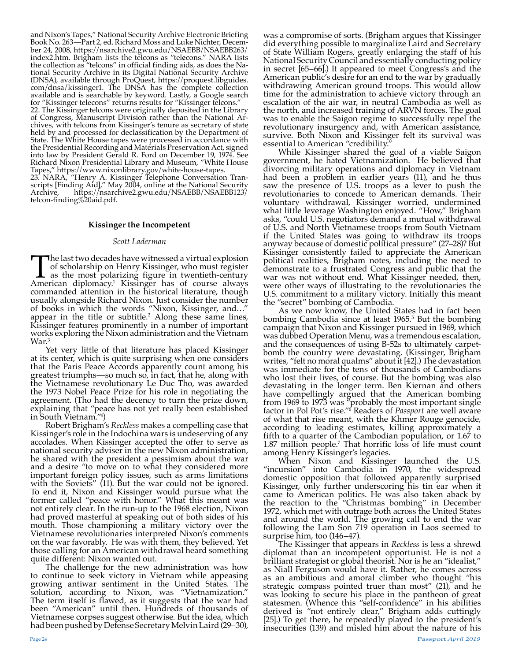and Nixon's Tapes," National Security Archive Electronic Briefing Book No. 263—Part 2, ed. Richard Moss and Luke Nichter, December 24, 2008, https://nsarchive2.gwu.edu/NSAEBB/NSAEBB263/ index2.htm. Brigham lists the telcons as "tel**e**cons." NARA lists the collection as "telcons" in official finding aids, as does the National Security Archive in its Digital National Security Archive (DNSA), available through ProQuest, https://proquest.libguides. com/dnsa/kissinger1. The DNSA has the complete collection available and is searchable by keyword. Lastly, a Google search for "Kissinger telecons" returns results for "Kissinger telcons." 22. The Kissinger telcons were originally deposited in the Library of Congress, Manuscript Division rather than the National Archives, with telcons from Kissinger's tenure as secretary of state held by and processed for declassification by the Department of State. The White House tapes were processed in accordance with the Presidential Recording and Materials Preservation Act, signed into law by President Gerald R. Ford on December 19, 1974. See Richard Nixon Presidential Library and Museum, "White House

Tapes," https://www.nixonlibrary.gov/white-house-tapes. 23. NARA, "Henry A. Kissinger Telephone Conversation Transcripts [Finding Aid]," May 2004, online at the National Security Archive, https://nsarchive2.gwu.edu/NSAEBB/NSAEBB123/

telcon-finding%20aid.pdf.

#### **Kissinger the Incompetent**

#### *Scott Laderman*

The last two decades have witnessed a virtual explosion<br>of scholarship on Henry Kissinger, who must register<br>as the most polarizing figure in twentieth-century<br>American diplomacy.<sup>1</sup> Kissinger has of course always of scholarship on Henry Kissinger, who must register as the most polarizing figure in twentieth-century American diplomacy.<sup>1</sup> Kissinger has of course always commanded attention in the historical literature, though usually alongside Richard Nixon. Just consider the number of books in which the words "Nixon, Kissinger, and…" appear in the title or subtitle.<sup>2</sup> Along these same lines, Kissinger features prominently in a number of important works exploring the Nixon administration and the Vietnam War.<sup>3</sup>

Yet very little of that literature has placed Kissinger at its center, which is quite surprising when one considers that the Paris Peace Accords apparently count among his greatest triumphs—so much so, in fact, that he, along with the Vietnamese revolutionary Le Duc Tho, was awarded the 1973 Nobel Peace Prize for his role in negotiating the agreement. (Tho had the decency to turn the prize down, explaining that "peace has not yet really been established in South Vietnam."4 )

Robert Brigham's *Reckless* makes a compelling case that Kissinger's role in the Indochina wars is undeserving of any accolades. When Kissinger accepted the offer to serve as national security adviser in the new Nixon administration, he shared with the president a pessimism about the war and a desire "to move on to what they considered more important foreign policy issues, such as arms limitations with the Soviets" (11). But the war could not be ignored. To end it, Nixon and Kissinger would pursue what the former called "peace with honor." What this meant was not entirely clear. In the run-up to the 1968 election, Nixon had proved masterful at speaking out of both sides of his mouth. Those championing a military victory over the Vietnamese revolutionaries interpreted Nixon's comments on the war favorably. He was with them, they believed. Yet those calling for an American withdrawal heard something quite different: Nixon wanted out.

The challenge for the new administration was how to continue to seek victory in Vietnam while appeasing growing antiwar sentiment in the United States. The solution, according to Nixon, was "Vietnamization." The term itself is flawed, as it suggests that the war had been "American" until then. Hundreds of thousands of Vietnamese corpses suggest otherwise. But the idea, which had been pushed by Defense Secretary Melvin Laird (29–30),

was a compromise of sorts. (Brigham argues that Kissinger did everything possible to marginalize Laird and Secretary of State William Rogers, greatly enlarging the staff of his National Security Council and essentially conducting policy in secret [65–66].) It appeared to meet Congress's and the American public's desire for an end to the war by gradually withdrawing American ground troops. This would allow time for the administration to achieve victory through an escalation of the air war, in neutral Cambodia as well as the north, and increased training of ARVN forces. The goal was to enable the Saigon regime to successfully repel the revolutionary insurgency and, with American assistance, survive. Both Nixon and Kissinger felt its survival was essential to American "credibility."

While Kissinger shared the goal of a viable Saigon government, he hated Vietnamization. He believed that divorcing military operations and diplomacy in Vietnam had been a problem in earlier years (11), and he thus saw the presence of U.S. troops as a lever to push the revolutionaries to concede to American demands. Their voluntary withdrawal, Kissinger worried, undermined what little leverage Washington enjoyed. "How," Brigham asks, "could U.S. negotiators demand a mutual withdrawal of U.S. and North Vietnamese troops from South Vietnam if the United States was going to withdraw its troops anyway because of domestic political pressure" (27–28)? But Kissinger consistently failed to appreciate the American political realities, Brigham notes, including the need to demonstrate to a frustrated Congress and public that the war was not without end. What Kissinger needed, then, were other ways of illustrating to the revolutionaries the U.S. commitment to a military victory. Initially this meant the "secret" bombing of Cambodia.

As we now know, the United States had in fact been bombing Cambodia since at least 1965.5 But the bombing campaign that Nixon and Kissinger pursued in 1969, which was dubbed Operation Menu, was a tremendous escalation, and the consequences of using B-52s to ultimately carpetbomb the country were devastating. (Kissinger, Brigham writes, "felt no moral qualms" about it [42].) The devastation was immediate for the tens of thousands of Cambodians who lost their lives, of course. But the bombing was also devastating in the longer term. Ben Kiernan and others have compellingly argued that the American bombing from 1969 to 1973 was "probably the most important single factor in Pol Pot's rise."<sup>6</sup> Readers of *Passport* are well aware of what that rise meant, with the Khmer Rouge genocide, according to leading estimates, killing approximately a fifth to a quarter of the Cambodian population, or 1.67 to 1.87 million people.7 That horrific loss of life must count among Henry Kissinger's legacies.

When Nixon and Kissinger launched the U.S. "incursion" into Cambodia in 1970, the widespread domestic opposition that followed apparently surprised Kissinger, only further underscoring his tin ear when it came to American politics. He was also taken aback by the reaction to the "Christmas bombing" in December 1972, which met with outrage both across the United States and around the world. The growing call to end the war following the Lam Son 719 operation in Laos seemed to surprise him, too (146–47).

The Kissinger that appears in *Reckless* is less a shrewd diplomat than an incompetent opportunist. He is not a brilliant strategist or global theorist. Nor is he an "idealist," as Niall Ferguson would have it. Rather, he comes across as an ambitious and amoral climber who thought "his strategic compass pointed truer than most" (21), and he was looking to secure his place in the pantheon of great statesmen. (Whence this "self-confidence" in his abilities derived is "not entirely clear," Brigham adds cuttingly [25].) To get there, he repeatedly played to the president's insecurities (139) and misled him about the nature of his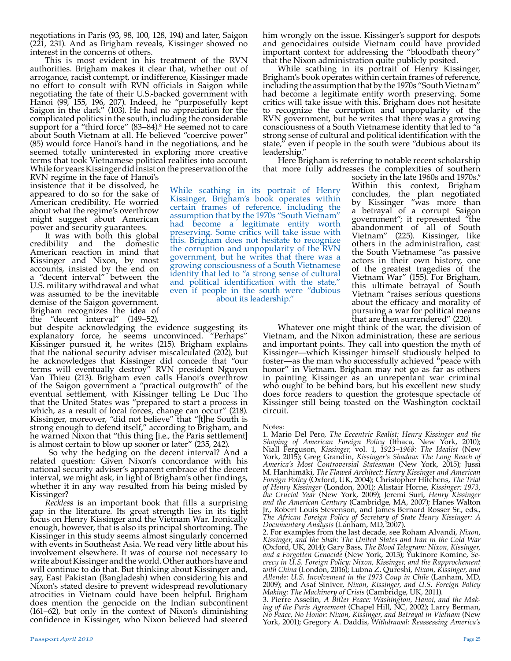negotiations in Paris (93, 98, 100, 128, 194) and later, Saigon (221, 231). And as Brigham reveals, Kissinger showed no interest in the concerns of others.

This is most evident in his treatment of the RVN authorities. Brigham makes it clear that, whether out of arrogance, racist contempt, or indifference, Kissinger made no effort to consult with RVN officials in Saigon while negotiating the fate of their U.S.-backed government with Hanoi (99, 155, 196, 207). Indeed, he "purposefully kept Saigon in the dark" (103). He had no appreciation for the complicated politics in the south, including the considerable support for a "third force" (83–84).<sup>8</sup> He seemed not to care about South Vietnam at all. He believed "coercive power" (85) would force Hanoi's hand in the negotiations, and he seemed totally uninterested in exploring more creative terms that took Vietnamese political realities into account. While for years Kissinger did insist on the preservation of the

RVN regime in the face of Hanoi's insistence that it be dissolved, he appeared to do so for the sake of American credibility. He worried about what the regime's overthrow might suggest about American power and security guarantees.

It was with both this global credibility and the domestic American reaction in mind that Kissinger and Nixon, by most accounts, insisted by the end on a "decent interval" between the U.S. military withdrawal and what was assumed to be the inevitable demise of the Saigon government. Brigham recognizes the idea of<br>the "decent interval" (149-52), the "decent interval"

but despite acknowledging the evidence suggesting its explanatory force, he seems unconvinced. "Perhaps" Kissinger pursued it, he writes (215). Brigham explains that the national security adviser miscalculated (202), but he acknowledges that Kissinger did concede that "our terms will eventually destroy" RVN president Nguyen Van Thieu (213). Brigham even calls Hanoi's overthrow of the Saigon government a "practical outgrowth" of the eventual settlement, with Kissinger telling Le Duc Tho that the United States was "prepared to start a process in which, as a result of local forces, change can occur" (218). Kissinger, moreover, "did not believe" that "[t]he South is strong enough to defend itself," according to Brigham, and he warned Nixon that "this thing [i.e., the Paris settlement] is almost certain to blow up sooner or later" (235, 242).

So why the hedging on the decent interval? And a related question: Given Nixon's concordance with his national security adviser's apparent embrace of the decent interval, we might ask, in light of Brigham's other findings, whether it in any way resulted from his being misled by

Kissinger?<br>Reckless is an important book that fills a surprising *Reckless* is an important book that fills a surprising gap in the literature. Its great strength lies in its tight focus on Henry Kissinger and the Vietnam War. Ironically enough, however, that is also its principal shortcoming. The Kissinger in this study seems almost singularly concerned with events in Southeast Asia. We read very little about his involvement elsewhere. It was of course not necessary to write about Kissinger and the world. Other authors have and will continue to do that. But thinking about Kissinger and, say, East Pakistan (Bangladesh) when considering his and Nixon's stated desire to prevent widespread revolutionary atrocities in Vietnam could have been helpful. Brigham does mention the genocide on the Indian subcontinent (161–62), but only in the context of Nixon's diminishing confidence in Kissinger, who Nixon believed had steered

him wrongly on the issue. Kissinger's support for despots and genocidaires outside Vietnam could have provided important context for addressing the "bloodbath theory" that the Nixon administration quite publicly posited.

While scathing in its portrait of Henry Kissinger, Brigham's book operates within certain frames of reference, including the assumption that by the 1970s "South Vietnam" had become a legitimate entity worth preserving. Some critics will take issue with this. Brigham does not hesitate to recognize the corruption and unpopularity of the RVN government, but he writes that there was a growing consciousness of a South Vietnamese identity that led to "a strong sense of cultural and political identification with the state," even if people in the south were "dubious about its leadership."

Here Brigham is referring to notable recent scholarship that more fully addresses the complexities of southern

While scathing in its portrait of Henry Kissinger, Brigham's book operates within certain frames of reference, including the assumption that by the 1970s "South Vietnam" had become a legitimate entity worth preserving. Some critics will take issue with this. Brigham does not hesitate to recognize the corruption and unpopularity of the RVN government, but he writes that there was a growing consciousness of a South Vietnamese identity that led to "a strong sense of cultural and political identification with the state," even if people in the south were "dubious about its leadership."

society in the late 1960s and 1970s.<sup>9</sup> Within this context, Brigham concludes, the plan negotiated by Kissinger "was more than a betrayal of a corrupt Saigon government"; it represented "the abandonment of all of South Vietnam" (225). Kissinger, like others in the administration, cast the South Vietnamese "as passive actors in their own history, one of the greatest tragedies of the Vietnam War" (155). For Brigham, this ultimate betrayal of South Vietnam "raises serious questions about the efficacy and morality of pursuing a war for political means that are then surrendered" (220).

Whatever one might think of the war, the division of Vietnam, and the Nixon administration, these are serious and important points. They call into question the myth of Kissinger—which Kissinger himself studiously helped to foster—as the man who successfully achieved "peace with honor" in Vietnam. Brigham may not go as far as others in painting Kissinger as an unrepentant war criminal who ought to be behind bars, but his excellent new study does force readers to question the grotesque spectacle of Kissinger still being toasted on the Washington cocktail circuit.

Notes:

1. Mario Del Pero, *The Eccentric Realist: Henry Kissinger and the Shaping of American Foreign Policy* (Ithaca, New York, 2010); Niall Ferguson, *Kissinger,* vol. 1, *1923–1968: The Idealist* (New York, 2015); Greg Grandin, *Kissinger's Shadow: The Long Reach of America's Most Controversial Statesman* (New York, 2015); Jussi M. Hanhimäki, *The Flawed Architect: Henry Kissinger and American Foreign Policy* (Oxford, UK, 2004); Christopher Hitchens, *The Trial of Henry Kissinger* (London, 2001); Alistair Horne, *Kissinger: 1973, the Crucial Year* (New York, 2009); Jeremi Suri, *Henry Kissinger and the American Century* (Cambridge, MA, 2007); Hanes Walton Jr., Robert Louis Stevenson, and James Bernard Rosser Sr., eds., *The African Foreign Policy of Secretary of State Henry Kissinger: A Documentary Analysis* (Lanham, MD, 2007).

2. For examples from the last decade, see Roham Alvandi, *Nixon, Kissinger, and the Shah: The United States and Iran in the Cold War* (Oxford, UK, 2014); Gary Bass, *The Blood Telegram: Nixon, Kissinger, and a Forgotten Genocide* (New York, 2013); Yukinore Komine, *Secrecy in U.S. Foreign Policy: Nixon, Kissinger, and the Rapprochement with China* (London, 2016); Lubna Z. Qureshi, *Nixon, Kissinger, and Allende: U.S. Involvement in the 1973 Coup in Chile* (Lanham, MD, 2009); and Asaf Siniver, *Nixon, Kissinger, and U.S. Foreign Policy Making: The Machinery of Crisis* (Cambridge, UK, 2011).

3. Pierre Asselin, *A Bitter Peace: Washington, Hanoi, and the Making of the Paris Agreement* (Chapel Hill, NC, 2002); Larry Berman, *No Peace, No Honor: Nixon, Kissinger, and Betrayal in Vietnam* (New York, 2001); Gregory A. Daddis, *Withdrawal: Reassessing America's*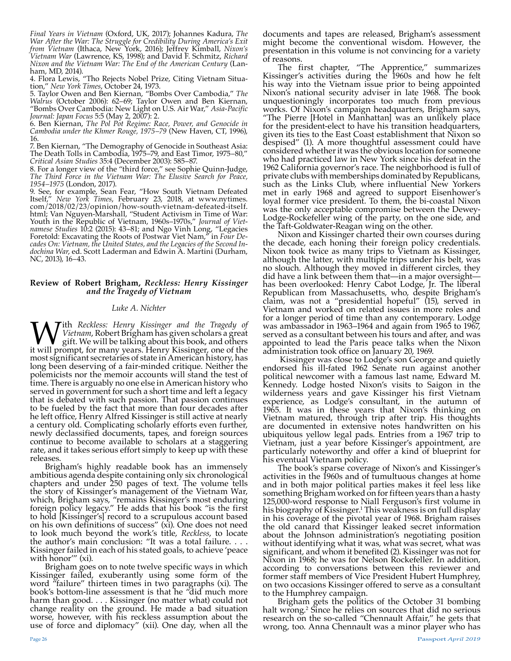*Final Years in Vietnam* (Oxford, UK, 2017); Johannes Kadura, *The War After the War: The Struggle for Credibility During America's Exit from Vietnam* (Ithaca, New York, 2016); Jeffrey Kimball, *Nixon's Vietnam War* (Lawrence, KS, 1998); and David F. Schmitz, *Richard Nixon and the Vietnam War: The End of the American Century* (Lanham, MD, 2014).

4. Flora Lewis, "Tho Rejects Nobel Prize, Citing Vietnam Situation," *New York Times*, October 24, 1973.

5. Taylor Owen and Ben Kiernan, "Bombs Over Cambodia," *The Walrus* (October 2006): 62–69; Taylor Owen and Ben Kiernan, "Bombs Over Cambodia: New Light on U.S. Air War," *Asia-Pacific Journal: Japan Focus* 5:5 (May 2, 2007): 2.

6. Ben Kiernan, *The Pol Pot Regime: Race, Power, and Genocide in Cambodia under the Khmer Rouge, 1975–79* (New Haven, CT, 1996), 16.

7. Ben Kiernan, "The Demography of Genocide in Southeast Asia: The Death Tolls in Cambodia, 1975–79, and East Timor, 1975–80," *Critical Asian Studies* 35:4 (December 2003): 585–87.

8. For a longer view of the "third force," see Sophie Quinn-Judge, *The Third Force in the Vietnam War: The Elusive Search for Peace, 1954–1975* (London, 2017).

9. See, for example, Sean Fear, "How South Vietnam Defeated Itself," *New York Times*, February 23, 2018, at www.nytimes. com/2018/02/23/opinion/how-south-vietnam-defeated-itself. html; Van Nguyen-Marshall, "Student Activism in Time of War: Youth in the Republic of Vietnam, 1960s–1970s," *Journal of Vietnamese Studies* 10:2 (2015): 43–81; and Ngo Vinh Long, "Legacies Foretold: Excavating the Roots of Postwar Viet Nam," in *Four Decades On: Vietnam, the United States, and the Legacies of the Second Indochina War*, ed. Scott Laderman and Edwin A. Martini (Durham, NC, 2013), 16–43.

#### **Review of Robert Brigham,** *Reckless: Henry Kissinger and the Tragedy of Vietnam*

#### *Luke A. Nichter*

With *Reckless: Henry Kissinger and the Tragedy of Vietnam, Robert Brigham has given scholars a great gift. We will be talking about this book, and others it will prompt, for many years. Henry Kissinger, one of the Vietnam*, Robert Brigham has given scholars a great gift. We will be talking about this book, and others it will prompt, for many years. Henry Kissinger, one of the most significant secretaries of state in American history, has long been deserving of a fair-minded critique. Neither the polemicists nor the memoir accounts will stand the test of time. There is arguably no one else in American history who served in government for such a short time and left a legacy that is debated with such passion. That passion continues to be fueled by the fact that more than four decades after he left office, Henry Alfred Kissinger is still active at nearly a century old. Complicating scholarly efforts even further, newly declassified documents, tapes, and foreign sources continue to become available to scholars at a staggering rate, and it takes serious effort simply to keep up with these releases.

Brigham's highly readable book has an immensely ambitious agenda despite containing only six chronological chapters and under 250 pages of text. The volume tells the story of Kissinger's management of the Vietnam War, which, Brigham says, "remains Kissinger's most enduring foreign policy legacy." He adds that his book "is the first to hold [Kissinger's] record to a scrupulous account based on his own definitions of success" (xi). One does not need to look much beyond the work's title, *Reckless*, to locate the author's main conclusion: "It was a total failure. . . . Kissinger failed in each of his stated goals, to achieve 'peace with honor" (xi).

Brigham goes on to note twelve specific ways in which Kissinger failed, exuberantly using some form of the word "failure" thirteen times in two paragraphs (xi). The book's bottom-line assessment is that he "did much more harm than good. . . . Kissinger (no matter what) could not change reality on the ground. He made a bad situation worse, however, with his reckless assumption about the use of force and diplomacy" (xii). One day, when all the

documents and tapes are released, Brigham's assessment might become the conventional wisdom. However, the presentation in this volume is not convincing for a variety of reasons.

The first chapter, "The Apprentice," summarizes Kissinger's activities during the 1960s and how he felt his way into the Vietnam issue prior to being appointed Nixon's national security adviser in late 1968. The book unquestioningly incorporates too much from previous works. Of Nixon's campaign headquarters, Brigham says, "The Pierre [Hotel in Manhattan] was an unlikely place for the president-elect to have his transition headquarters, given its ties to the East Coast establishment that Nixon so despised" (1). A more thoughtful assessment could have considered whether it was the obvious location for someone who had practiced law in New York since his defeat in the 1962 California governor's race. The neighborhood is full of private clubs with memberships dominated by Republicans, such as the Links Club, where influential New Yorkers met in early 1968 and agreed to support Eisenhower's loyal former vice president. To them, the bi-coastal Nixon was the only acceptable compromise between the Dewey-Lodge-Rockefeller wing of the party, on the one side, and the Taft-Goldwater-Reagan wing on the other.

Nixon and Kissinger charted their own courses during the decade, each honing their foreign policy credentials. Nixon took twice as many trips to Vietnam as Kissinger, although the latter, with multiple trips under his belt, was no slouch. Although they moved in different circles, they did have a link between them that—in a major oversight has been overlooked: Henry Cabot Lodge, Jr. The liberal Republican from Massachusetts, who, despite Brigham's claim, was not a "presidential hopeful" (15), served in Vietnam and worked on related issues in more roles and for a longer period of time than any contemporary. Lodge was ambassador in 1963–1964 and again from 1965 to 1967, served as a consultant between his tours and after, and was appointed to lead the Paris peace talks when the Nixon administration took office on January 20, 1969.

 Kissinger was close to Lodge's son George and quietly endorsed his ill-fated 1962 Senate run against another political newcomer with a famous last name, Edward M. Kennedy. Lodge hosted Nixon's visits to Saigon in the wilderness years and gave Kissinger his first Vietnam experience, as Lodge's consultant, in the autumn of 1965. It was in these years that Nixon's thinking on Vietnam matured, through trip after trip. His thoughts are documented in extensive notes handwritten on his ubiquitous yellow legal pads. Entries from a 1967 trip to Vietnam, just a year before Kissinger's appointment, are particularly noteworthy and offer  $\tilde{a}$  kind  $\tilde{b}$  blueprint for his eventual Vietnam policy.

The book's sparse coverage of Nixon's and Kissinger's activities in the 1960s and of tumultuous changes at home and in both major political parties makes it feel less like something Brigham worked on for fifteen years than a hasty 125,000-word response to Niall Ferguson's first volume in his biography of Kissinger.1 This weakness is on full display in his coverage of the pivotal year of 1968. Brigham raises the old canard that Kissinger leaked secret information about the Johnson administration's negotiating position without identifying what it was, what was secret, what was significant, and whom it benefited (2). Kissinger was not for Nixon in 1968; he was for Nelson Rockefeller. In addition, according to conversations between this reviewer and former staff members of Vice President Hubert Humphrey, on two occasions Kissinger offered to serve as a consultant to the Humphrey campaign.

Brigham gets the politics of the October 31 bombing halt wrong.2 Since he relies on sources that did no serious research on the so-called "Chennault Affair," he gets that wrong, too. Anna Chennault was a minor player who has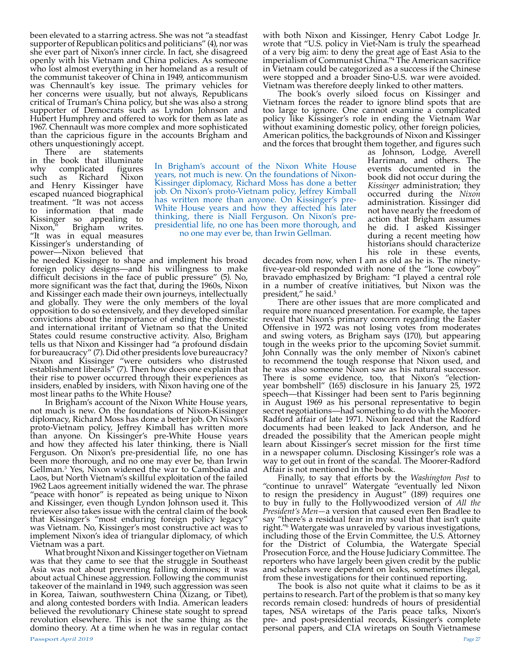been elevated to a starring actress. She was not "a steadfast supporter of Republican politics and politicians" (4), nor was she ever part of Nixon's inner circle. In fact, she disagreed openly with his Vietnam and China policies. As someone who lost almost everything in her homeland as a result of the communist takeover of China in 1949, anticommunism was Chennault's key issue. The primary vehicles for her concerns were usually, but not always, Republicans critical of Truman's China policy, but she was also a strong supporter of Democrats such as Lyndon Johnson and Hubert Humphrey and offered to work for them as late as 1967. Chennault was more complex and more sophisticated than the capricious figure in the accounts Brigham and

others unquestioningly accept. are statements in the book that illuminate why complicated figures<br>such as Richard Nixon Richard and Henry Kissinger have escaped nuanced biographical treatment. "It was not access to information that made Kissinger so appealing to<br>Nixon," Brigham writes. Brigham "It was in equal measures Kissinger's understanding of power—Nixon believed that

he needed Kissinger to shape and implement his broad foreign policy designs—and his willingness to make difficult decisions in the face of public pressure" (5). No, more significant was the fact that, during the 1960s, Nixon and Kissinger each made their own journeys, intellectually and globally. They were the only members of the loyal opposition to do so extensively, and they developed similar convictions about the importance of ending the domestic and international irritant of Vietnam so that the United States could resume constructive activity. Also, Brigham tells us that Nixon and Kissinger had "a profound disdain for bureaucracy" (7). Did other presidents love bureaucracy? Nixon and Kissinger "were outsiders who distrusted establishment liberals" (7). Then how does one explain that their rise to power occurred through their experiences as insiders, enabled by insiders, with Nixon having one of the

In Brigham's account of the Nixon White House years, not much is new. On the foundations of Nixon-Kissinger diplomacy, Richard Moss has done a better job. On Nixon's proto-Vietnam policy, Jeffrey Kimball has written more than anyone. On Kissinger's pre-White House years and how they affected his later thinking, there is Niall Ferguson. On Nixon's pre-presidential life, no one has been more thorough, and no one may ever be, than Irwin Gellman.3 Yes, Nixon widened the war to Cambodia and Laos, but North Vietnam's skillful exploitation of the failed 1962 Laos agreement initially widened the war. The phrase "peace with honor" is repeated as being unique to Nixon and Kissinger, even though Lyndon Johnson used it. This reviewer also takes issue with the central claim of the book that Kissinger's "most enduring foreign policy legacy" was Vietnam. No, Kissinger's most constructive act was to implement Nixon's idea of triangular diplomacy, of which Vietnam was a part.

What brought Nixon and Kissinger together on Vietnam was that they came to see that the struggle in Southeast Asia was not about preventing falling dominoes; it was about actual Chinese aggression. Following the communist takeover of the mainland in 1949, such aggression was seen in Korea, Taiwan, southwestern China (Xizang, or Tibet), and along contested borders with India. American leaders believed the revolutionary Chinese state sought to spread revolution elsewhere. This is not the same thing as the domino theory. At a time when he was in regular contact

The book's overly siloed focus on Kissinger and Vietnam forces the reader to ignore blind spots that are too large to ignore. One cannot examine a complicated policy like Kissinger's role in ending the Vietnam War without examining domestic policy, other foreign policies, American politics, the backgrounds of Nixon and Kissinger and the forces that brought them together, and figures such

In Brigham's account of the Nixon White House years, not much is new. On the foundations of Nixon-Kissinger diplomacy, Richard Moss has done a better job. On Nixon's proto-Vietnam policy, Jeffrey Kimball has written more than anyone. On Kissinger's pre-White House years and how they affected his later thinking, there is Niall Ferguson. On Nixon's prepresidential life, no one has been more thorough, and no one may ever be, than Irwin Gellman.

as Johnson, Lodge, Averell Harriman, and others. The events documented in the book did not occur during the *Kissinger* administration; they occurred during the *Nixon*  administration. Kissinger did not have nearly the freedom of action that Brigham assumes he did. I asked Kissinger during a recent meeting how historians should characterize his role in these events,

decades from now, when I am as old as he is. The ninetyfive-year-old responded with none of the "lone cowboy" bravado emphasized by Brigham: "I played a central role in a number of creative initiatives, but Nixon was the

president," he said.<sup>5</sup><br>There are other issues that are more complicated and require more nuanced presentation. For example, the tapes reveal that Nixon's primary concern regarding the Easter Offensive in 1972 was not losing votes from moderates and swing voters, as Brigham says (170), but appearing tough in the weeks prior to the upcoming Soviet summit. John Connally was the only member of Nixon's cabinet to recommend the tough response that Nixon used, and he was also someone Nixon saw as his natural successor. There is some evidence, too, that Nixon's "electionyear bombshell" (165) disclosure in his January 25, 1972 speech—that Kissinger had been sent to Paris beginning in August 1969 as his personal representative to begin secret negotiations—had something to do with the Moorer-Radford affair of late 1971. Nixon feared that the Radford documents had been leaked to Jack Anderson, and he dreaded the possibility that the American people might learn about Kissinger's secret mission for the first time in a newspaper column. Disclosing Kissinger's role was a way to get out in front of the scandal. The Moorer-Radford Affair is not mentioned in the book.

Finally, to say that efforts by the *Washington Post* to "continue to unravel" Watergate "eventually led Nixon to resign the presidency in August" (189) requires one to buy in fully to the Hollywoodized version of *All the President's Men—*a version that caused even Ben Bradlee to say "there's a residual fear in my soul that that isn't quite right."<sup>6</sup> Watergate was unraveled by various investigations, including those of the Ervin Committee, the U.S. Attorney for the District of Columbia, the Watergate Special Prosecution Force, and the House Judiciary Committee. The reporters who have largely been given credit by the public and scholars were dependent on leaks, sometimes illegal, from these investigations for their continued reporting.

The book is also not quite what it claims to be as it pertains to research. Part of the problem is that so many key records remain closed: hundreds of hours of presidential tapes, NSA wiretaps of the Paris peace talks, Nixon's pre- and post-presidential records, Kissinger's complete personal papers, and CIA wiretaps on South Vietnamese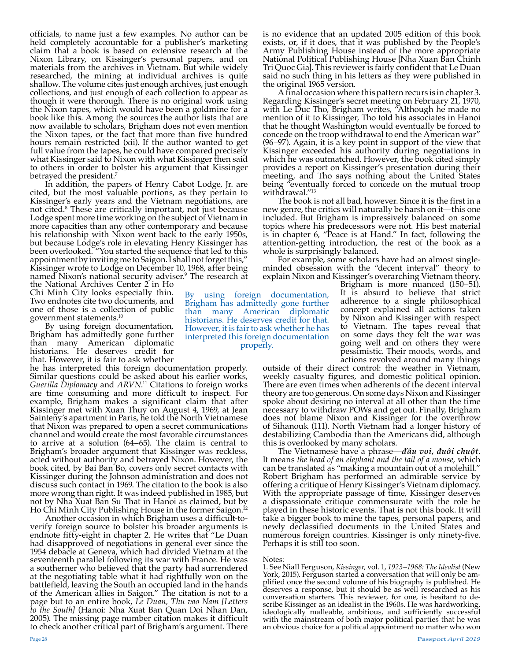officials, to name just a few examples. No author can be held completely accountable for a publisher's marketing claim that a book is based on extensive research at the Nixon Library, on Kissinger's personal papers, and on materials from the archives in Vietnam. But while widely researched, the mining at individual archives is quite shallow. The volume cites just enough archives, just enough collections, and just enough of each collection to appear as though it were thorough. There is no original work using the Nixon tapes, which would have been a goldmine for a book like this. Among the sources the author lists that are now available to scholars, Brigham does not even mention the Nixon tapes, or the fact that more than five hundred hours remain restricted (xii). If the author wanted to get full value from the tapes, he could have compared precisely what Kissinger said to Nixon with what Kissinger then said to others in order to bolster his argument that Kissinger betrayed the president.7

In addition, the papers of Henry Cabot Lodge, Jr. are cited, but the most valuable portions, as they pertain to Kissinger's early years and the Vietnam negotiations, are not cited.8 These are critically important, not just because Lodge spent more time working on the subject of Vietnam in more capacities than any other contemporary and because his relationship with Nixon went back to the early 1950s, but because Lodge's role in elevating Henry Kissinger has been overlooked. "You started the sequence that led to this appointment by inviting me to Saigon. I shall not forget this," Kissinger wrote to Lodge on December 10, 1968, after being named Nixon's national security adviser.<sup>9</sup> The research at

the National Archives Center 2 in Ho Chi Minh City looks especially thin. Two endnotes cite two documents, and one of those is a collection of public government statements.10

By using foreign documentation, Brigham has admittedly gone further than many American diplomatic historians. He deserves credit for that. However, it is fair to ask whether

he has interpreted this foreign documentation properly. Similar questions could be asked about his earlier works, *Guerilla Diplomacy* and *ARVN*. 11 Citations to foreign works are time consuming and more difficult to inspect. For example, Brigham makes a significant claim that after Kissinger met with Xuan Thuy on August 4, 1969, at Jean Sainteny's apartment in Paris, he told the North Vietnamese that Nixon was prepared to open a secret communications channel and would create the most favorable circumstances to arrive at a solution (64–65). The claim is central to Brigham's broader argument that Kissinger was reckless, acted without authority and betrayed Nixon. However, the book cited, by Bai Ban Bo, covers only secret contacts with Kissinger during the Johnson administration and does not discuss such contact in 1969. The citation to the book is also more wrong than right. It was indeed published in 1985, but not by Nha Xuat Ban Su That in Hanoi as claimed, but by

Ho Chi Minh City Publishing House in the former Saigon.<sup>12</sup><br>Another occasion in which Brigham uses a difficult-toverify foreign source to bolster his broader arguments is endnote fifty-eight in chapter 2. He writes that "Le Duan had disapproved of negotiations in general ever since the 1954 debacle at Geneva, which had divided Vietnam at the seventeenth parallel following its war with France. He was a southerner who believed that the party had surrendered at the negotiating table what it had rightfully won on the battlefield, leaving the South an occupied land in the hands of the American allies in Saigon." The citation is not to a page but to an entire book, *Le Duan, Thu vao Nam [Letters to the South]* (Hanoi: Nha Xuat Ban Quan Doi Nhan Dan, 2005). The missing page number citation makes it difficult to check another critical part of Brigham's argument. There

is no evidence that an updated 2005 edition of this book exists, or, if it does, that it was published by the People's Army Publishing House instead of the more appropriate National Political Publishing House [Nha Xuan Ban Chinh Tri Quoc Gia]. This reviewer is fairly confident that Le Duan said no such thing in his letters as they were published in the original 1965 version.

A final occasion where this pattern recurs is in chapter 3. Regarding Kissinger's secret meeting on February 21, 1970, with Le Duc Tho, Brigham writes, "Although he made no mention of it to Kissinger, Tho told his associates in Hanoi that he thought Washington would eventually be forced to concede on the troop withdrawal to end the American war" (96–97). Again, it is a key point in support of the view that Kissinger exceeded his authority during negotiations in which he was outmatched. However, the book cited simply provides a report on Kissinger's presentation during their meeting, and Tho says nothing about the United States being "eventually forced to concede on the mutual troop withdrawal."<sup>13</sup>

The book is not all bad, however. Since it is the first in a new genre, the critics will naturally be harsh on it—this one included. But Brigham is impressively balanced on some topics where his predecessors were not. His best material is in chapter 6, "Peace is at Hand." In fact, following the attention-getting introduction, the rest of the book as a whole is surprisingly balanced.

For example, some scholars have had an almost singleminded obsession with the "decent interval" theory to explain Nixon and Kissinger's overarching Vietnam theory.

By using foreign documentation, Brigham has admittedly gone further than many American diplomatic historians. He deserves credit for that. However, it is fair to ask whether he has interpreted this foreign documentation properly.

Brigham is more nuanced (150–51). It is absurd to believe that strict adherence to a single philosophical concept explained all actions taken by Nixon and Kissinger with respect to Vietnam. The tapes reveal that on some days they felt the war was going well and on others they were pessimistic. Their moods, words, and actions revolved around many things

outside of their direct control: the weather in Vietnam, weekly casualty figures, and domestic political opinion. There are even times when adherents of the decent interval theory are too generous. On some days Nixon and Kissinger spoke about desiring no interval at all other than the time necessary to withdraw POWs and get out. Finally, Brigham does not blame Nixon and Kissinger for the overthrow of Sihanouk (111). North Vietnam had a longer history of destabilizing Cambodia than the Americans did, although this is overlooked by many scholars.

this is overlooked by many scholars. The Vietnamese have a phrase—*đầu voi, đuôi chuột*. It means *the head of an elephant and the tail of a mouse*, which can be translated as "making a mountain out of a molehill." Robert Brigham has performed an admirable service by offering a critique of Henry Kissinger's Vietnam diplomacy. With the appropriate passage of time, Kissinger deserves a dispassionate critique commensurate with the role he played in these historic events. That is not this book. It will take a bigger book to mine the tapes, personal papers, and newly declassified documents in the United States and numerous foreign countries. Kissinger is only ninety-five. Perhaps it is still too soon.

#### Notes:

1. See Niall Ferguson, *Kissinger,* vol. 1, *1923–1968: The Idealist* (New York, 2015). Ferguson started a conversation that will only be amplified once the second volume of his biography is published. He deserves a response, but it should be as well researched as his conversation starters. This reviewer, for one, is hesitant to describe Kissinger as an idealist in the 1960s. He was hardworking, ideologically malleable, ambitious, and sufficiently successful with the mainstream of both major political parties that he was an obvious choice for a political appointment no matter who won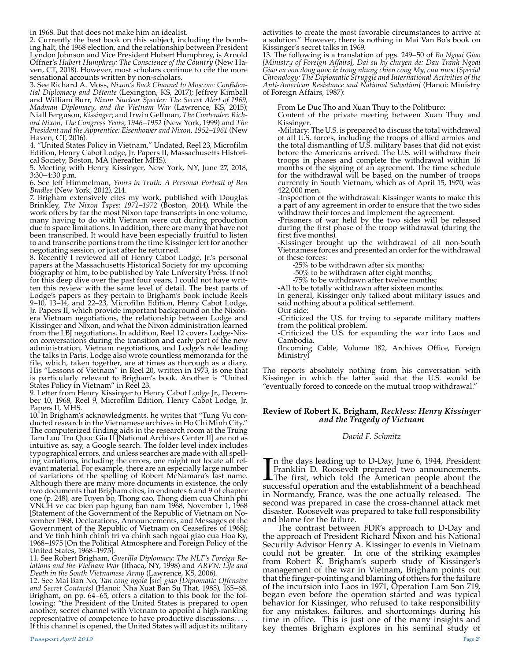in 1968. But that does not make him an idealist.<br>2. Currently the best book on this subject, including the bombing halt, the 1968 election, and the relationship between President Lyndon Johnson and Vice President Hubert Humphrey, is Arnold Offner's *Hubert Humphrey: The Conscience of the Country* (New Ha- ven, CT, 2018). However, most scholars continue to cite the more sensational accounts written by non-scholars.<br>3. See Richard A. Moss, Nixon's Back Channel to Moscow: Confiden-

tial Diplomacy and Détente (Lexington, KS, 2017); Jeffrey Kimball<br>and William Burr, Nixon Nuclear Specter: The Secret Alert of 1969,<br>Madman Diplomacy, and the Vietnam War (Lawrence, KS, 2015); Niall Ferguson, *Kissinger*; and Irwin Gellman, *The Contender: Rich- ard Nixon, The Congress Years, 1946–1952* (New York, 1999) and *The President and the Apprentice: Eisenhower and Nixon, 1952–1961* (New Haven, CT, 2016).

4. "United States Policy in Vietnam," Undated, Reel 23, Microfilm Edition, Henry Cabot Lodge, Jr. Papers II, Massachusetts Histori- cal Society, Boston, MA (hereafter MHS).

5. Meeting with Henry Kissinger, New York, NY, June 27, 2018, 3:30–4:30 p.m.

6. See Jeff Himmelman, *Yours in Truth: A Personal Portrait of Ben Bradlee* (New York, 2012), 214.

7. Brigham extensively cites my work, published with Douglas Brinkley, *The Nixon Tapes: 1971–1972* (Boston, 2014). While the work offers by far the most Nixon tape transcripts in one volume, many having to do with Vietnam were cut during production due to space limitations. In addition, there are many that have not been transcribed. It would have been especially fruitful to listen to and transcribe portions from the time Kissinger left for another negotiating session, or just after he returned.

8. Recently I reviewed all of Henry Cabot Lodge, Jr.'s personal papers at the Massachusetts Historical Society for my upcoming biography of him, to be published by Yale University Press. If not for this deep dive over the past four years, I could not have written this review with the same level of detail. The best parts of Lodge's papers as they pertain to Brigham's book include Reels 9–10, 13–14, and 22–23, Microfilm Edition, Henry Cabot Lodge, Jr. Papers II, which provide important background on the Nixonera Vietnam negotiations, the relationship between Lodge and Kissinger and Nixon, and what the Nixon administration learned from the LBJ negotiations. In addition, Reel 12 covers Lodge-Nixon conversations during the transition and early part of the new administration, Vietnam negotiations, and Lodge's role leading the talks in Paris. Lodge also wrote countless memoranda for the file, which, taken together, are at times as thorough as a diary. His "Lessons of Vietnam" in Reel 20, written in 1973, is one that is particularly relevant to Brigham's book. Another is "United States Policy in Vietnam" in Reel 23.

9. Letter from Henry Kissinger to Henry Cabot Lodge Jr., December 10, 1968, Reel 9, Microfilm Edition, Henry Cabot Lodge, Jr. Papers II, MHS.

10. In Brigham's acknowledgments, he writes that "Tung Vu conducted research in the Vietnamese archives in Ho Chi Minh City." The computerized finding aids in the research room at the Trung Tam Luu Tru Quoc Gia II [National Archives Center II] are not as intuitive as, say, a Google search. The folder level index includes typographical errors, and unless searches are made with all spelling variations, including the errors, one might not locate all relevant material. For example, there are an especially large number of variations of the spelling of Robert McNamara's last name. Although there are many more documents in existence, the only two documents that Brigham cites, in endnotes 6 and 9 of chapter one (p. 248), are Tuyen bo, Thong cao, Thong diem cua Chinh phi VNCH ve cac bien pap hgung ban nam 1968, November 1, 1968 [Statement of the Government of the Republic of Vietnam on November 1968, Declarations, Announcements, and Messages of the Government of the Republic of Vietnam on Ceasefires of 1968]; and Ve tinh hinh chinh tri va chinh sach ngoai giao cua Hoa Ky, 1968–1975 [On the Political Atmosphere and Foreign Policy of the United States, 1968-1975].<br>11. See Robert Brigham, Guerilla Diplomacy: The NLF's Foreign Re-

11. See Robert Brigham, *Guerilla Diplomacy: The NLF's Foreign Re- lations and the Vietnam War* (Ithaca, NY, 1998) and *ARVN: Life and Death in the South Vietnamese Army* (Lawrence, KS, 2006).

12. See Mai Ban No, *Tan cong ngoia* [*sic*] *giao [Diplomatic Offensive and Secret Contacts]* (Hanoi: Nha Xuat Ban Su That, 1985), 165–68. Brigham, on pp. 64–65, offers a citation to this book for the fol- lowing: "the President of the United States is prepared to open another, secret channel with Vietnam to appoint a high-ranking representative of competence to have productive discussions. . . If this channel is opened, the United States will adjust its military

activities to create the most favorable circumstances to arrive at a solution." However, there is nothing in Mai Van Bo's book on

Kissinger's secret talks in 1969.<br>13. The following is a translation of pgs. 249–50 of Bo Ngoai Giao 13. The following is a translation of pgs. 249–50 of *Bo Ngoai Giao [Ministry of Foreign Affairs], Dai su ky chuyen de: Dau Tranh Ngoai Giao va von dong quoc te trong nhung chien cong My, cuu nuoc [Special Chronology: The Diplomatic Struggle and International Activities of the Anti-American Resistance and National Salvation]* (Hanoi: Ministry of Foreign Affairs, 1987):

From Le Duc Tho and Xuan Thuy to the Politburo:

Content of the private meeting between Xuan Thuy and Kissinger.

-Military: The U.S. is prepared to discuss the total withdrawal of all U.S. forces, including the troops of allied armies and the total dismantling of U.S. military bases that did not exist before the Americans arrived. The U.S. will withdraw their troops in phases and complete the withdrawal within 16 months of the signing of an agreement. The time schedule for the withdrawal will be based on the number of troops currently in South Vietnam, which as of April 15, 1970, was 422,000 men.

-Inspection of the withdrawal: Kissinger wants to make this a part of any agreement in order to ensure that the two sides withdraw their forces and implement the agreement.

-Prisoners of war held by the two sides will be released during the first phase of the troop withdrawal (during the first five months).

-Kissinger brought up the withdrawal of all non-South Vietnamese forces and presented an order for the withdrawal of these forces:

-25% to be withdrawn after six months;

-50% to be withdrawn after eight months;

-75% to be withdrawn after twelve months;

-All to be totally withdrawn after sixteen months.

In general, Kissinger only talked about military issues and said nothing about a political settlement.

Our side:

-Criticized the U.S. for trying to separate military matters from the political problem.

-Criticized the U.S. for expanding the war into Laos and Cambodia.

(Incoming Cable, Volume 182, Archives Office, Foreign Ministry)

Tho reports absolutely nothing from his conversation with Kissinger in which the latter said that the U.S. would be "eventually forced to concede on the mutual troop withdrawal."

#### **Review of Robert K. Brigham,** *Reckless: Henry Kissinger and the Tragedy of Vietnam*

#### *David F. Schmitz*

In the days leading up to D-Day, June 6, 1944, President Franklin D. Roosevelt prepared two announcements.<br>The first, which told the American people about the successful operation and the establishment of a beachhead n the days leading up to D-Day, June 6, 1944, President Franklin D. Roosevelt prepared two announcements. **The first, which told the American people about the** in Normandy, France, was the one actually released. The second was prepared in case the cross-channel attack met disaster. Roosevelt was prepared to take full responsibility and blame for the failure.

The contrast between FDR's approach to D-Day and the approach of President Richard Nixon and his National Security Advisor Henry A. Kissinger to events in Vietnam could not be greater. In one of the striking examples from Robert K. Brigham's superb study of Kissinger's management of the war in Vietnam, Brigham points out that the finger-pointing and blaming of others for the failure of the incursion into Laos in 1971, Operation Lam Son 719, began even before the operation started and was typical behavior for Kissinger, who refused to take responsibility for any mistakes, failures, and shortcomings during his time in office. This is just one of the many insights and key themes Brigham explores in his seminal study of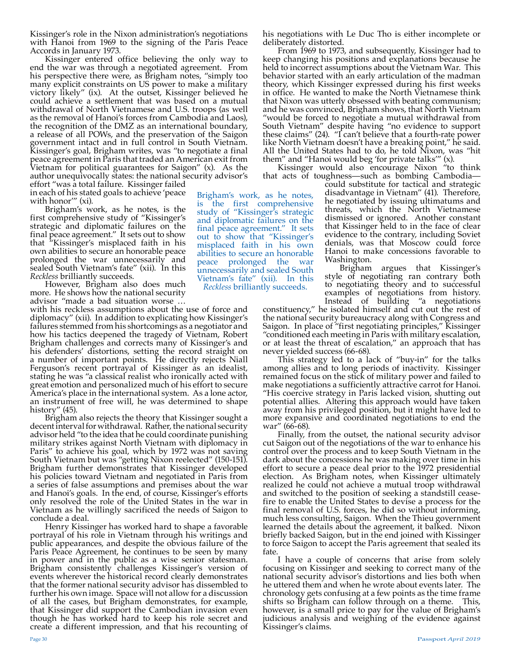Kissinger's role in the Nixon administration's negotiations with Hanoi from 1969 to the signing of the Paris Peace Accords in January 1973.

Kissinger entered office believing the only way to end the war was through a negotiated agreement. From his perspective there were, as Brigham notes, "simply too many explicit constraints on US power to make a military victory likely" (ix). At the outset, Kissinger believed he could achieve a settlement that was based on a mutual withdrawal of North Vietnamese and U.S. troops (as well as the removal of Hanoi's forces from Cambodia and Laos), the recognition of the DMZ as an international boundary, a release of all POWs, and the preservation of the Saigon government intact and in full control in South Vietnam. Kissinger's goal, Brigham writes, was "to negotiate a final peace agreement in Paris that traded an American exit from Vietnam for political guarantees for Saigon" (x). As the author unequivocally states: the national security advisor's

effort "was a total failure. Kissinger failed in each of his stated goals to achieve 'peace with honor'" (xi).

Brigham's work, as he notes, is the first comprehensive study of "Kissinger's strategic and diplomatic failures on the final peace agreement." It sets out to show that "Kissinger's misplaced faith in his own abilities to secure an honorable peace prolonged the war unnecessarily and sealed South Vietnam's fate" (xii). In this *Reckless* brilliantly succeeds.

However, Brigham also does much more. He shows how the national security advisor "made a bad situation worse …

with his reckless assumptions about the use of force and diplomacy" (xii). In addition to explicating how Kissinger's failures stemmed from his shortcomings as a negotiator and how his tactics deepened the tragedy of Vietnam, Robert Brigham challenges and corrects many of Kissinger's and his defenders' distortions, setting the record straight on a number of important points. He directly rejects Niall Ferguson's recent portrayal of Kissinger as an idealist, stating he was "a classical realist who ironically acted with great emotion and personalized much of his effort to secure America's place in the international system. As a lone actor, an instrument of free will, he was determined to shape

history" (45).<br>Brigham also rejects the theory that Kissinger sought a decent interval for withdrawal. Rather, the national security advisor held "to the idea that he could coordinate punishing military strikes against North Vietnam with diplomacy in Paris" to achieve his goal, which by 1972 was not saving South Vietnam but was "getting Nixon reelected" (150-151). Brigham further demonstrates that Kissinger developed his policies toward Vietnam and negotiated in Paris from a series of false assumptions and premises about the war and Hanoi's goals. In the end, of course, Kissinger's efforts only resolved the role of the United States in the war in Vietnam as he willingly sacrificed the needs of Saigon to conclude a deal.

Henry Kissinger has worked hard to shape a favorable portrayal of his role in Vietnam through his writings and public appearances, and despite the obvious failure of the Paris Peace Agreement, he continues to be seen by many in power and in the public as a wise senior statesman. Brigham consistently challenges Kissinger's version of events wherever the historical record clearly demonstrates that the former national security advisor has dissembled to further his own image. Space will not allow for a discussion of all the cases, but Brigham demonstrates, for example, that Kissinger did support the Cambodian invasion even though he has worked hard to keep his role secret and create a different impression, and that his recounting of

his negotiations with Le Duc Tho is either incomplete or deliberately distorted.

From 1969 to 1973, and subsequently, Kissinger had to keep changing his positions and explanations because he held to incorrect assumptions about the Vietnam War. This behavior started with an early articulation of the madman theory, which Kissinger expressed during his first weeks in office. He wanted to make the North Vietnamese think that Nixon was utterly obsessed with beating communism; and he was convinced, Brigham shows, that North Vietnam "would be forced to negotiate a mutual withdrawal from South Vietnam" despite having "no evidence to support these claims" (24). "I can't believe that a fourth-rate power like North Vietnam doesn't have a breaking point," he said. All the United States had to do, he told Nixon, was "hit them" and "Hanoi would beg 'for private talks'" (x).

Kissinger would also encourage Nixon "to think that acts of toughness—such as bombing Cambodia—

Brigham's work, as he notes, is the first comprehensive study of "Kissinger's strategic and diplomatic failures on the final peace agreement." It sets out to show that "Kissinger's misplaced faith in his own abilities to secure an honorable peace prolonged the war unnecessarily and sealed South Vietnam's fate" (xii). In this *Reckless* brilliantly succeeds.

could substitute for tactical and strategic disadvantage in Vietnam" (41). Therefore, he negotiated by issuing ultimatums and threats, which the North Vietnamese dismissed or ignored. Another constant that Kissinger held to in the face of clear evidence to the contrary, including Soviet denials, was that Moscow could force Hanoi to make concessions favorable to Washington.

Brigham argues that Kissinger's style of negotiating ran contrary both to negotiating theory and to successful examples of negotiations from history.<br>Instead of building "a negotiations" Instead of building

constituency," he isolated himself and cut out the rest of the national security bureaucracy along with Congress and Saigon. In place of "first negotiating principles," Kissinger "conditioned each meeting in Paris with military escalation, or at least the threat of escalation," an approach that has never yielded success (66-68).

This strategy led to a lack of "buy-in" for the talks among allies and to long periods of inactivity. Kissinger remained focus on the stick of military power and failed to make negotiations a sufficiently attractive carrot for Hanoi. "His coercive strategy in Paris lacked vision, shutting out potential allies. Altering this approach would have taken away from his privileged position, but it might have led to more expansive and coordinated negotiations to end the war" (66-68).<br>Finally, from the outset, the national security advisor

cut Saigon out of the negotiations of the war to enhance his control over the process and to keep South Vietnam in the dark about the concessions he was making over time in his effort to secure a peace deal prior to the 1972 presidential election. As Brigham notes, when Kissinger ultimately realized he could not achieve a mutual troop withdrawal and switched to the position of seeking a standstill ceasefire to enable the United States to devise a process for the final removal of U.S. forces, he did so without informing, much less consulting, Saigon. When the Thieu government learned the details about the agreement, it balked. Nixon briefly backed Saigon, but in the end joined with Kissinger to force Saigon to accept the Paris agreement that sealed its fate.

I have a couple of concerns that arise from solely focusing on Kissinger and seeking to correct many of the national security advisor's distortions and lies both when he uttered them and when he wrote about events later. The chronology gets confusing at a few points as the time frame shifts so Brigham can follow through on a theme. This, however, is a small price to pay for the value of Brigham's judicious analysis and weighing of the evidence against Kissinger's claims.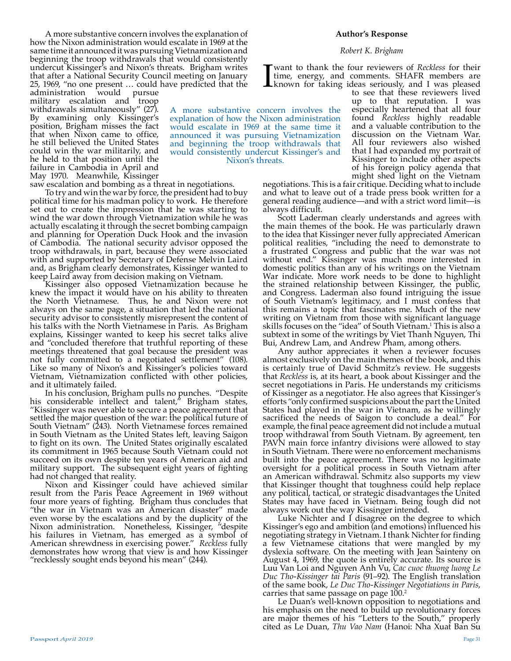A more substantive concern involves the explanation of how the Nixon administration would escalate in 1969 at the same time it announced it was pursuing Vietnamization and beginning the troop withdrawals that would consistently undercut Kissinger's and Nixon's threats. Brigham writes that after a National Security Council meeting on January 25, 1969, "no one present … could have predicted that the

administration would pursue military escalation and troop withdrawals simultaneously" (27). By examining only Kissinger's position, Brigham misses the fact that when Nixon came to office, he still believed the United States could win the war militarily, and he held to that position until the failure in Cambodia in April and May 1970. Meanwhile, Kissinger

saw escalation and bombing as a threat in negotiations.

To try and win the war by force, the president had to buy political time for his madman policy to work. He therefore set out to create the impression that he was starting to wind the war down through Vietnamization while he was actually escalating it through the secret bombing campaign and planning for Operation Duck Hook and the invasion of Cambodia. The national security advisor opposed the troop withdrawals, in part, because they were associated with and supported by Secretary of Defense Melvin Laird and, as Brigham clearly demonstrates, Kissinger wanted to keep Laird away from decision making on Vietnam.

Kissinger also opposed Vietnamization because he knew the impact it would have on his ability to threaten the North Vietnamese. Thus, he and Nixon were not always on the same page, a situation that led the national security advisor to consistently misrepresent the content of his talks with the North Vietnamese in Paris. As Brigham explains, Kissinger wanted to keep his secret talks alive and "concluded therefore that truthful reporting of these meetings threatened that goal because the president was not fully committed to a negotiated settlement" (108). Like so many of Nixon's and Kissinger's policies toward Vietnam, Vietnamization conflicted with other policies, and it ultimately failed.

In his conclusion, Brigham pulls no punches. "Despite his considerable intellect and talent," Brigham states, "Kissinger was never able to secure a peace agreement that settled the major question of the war: the political future of South Vietnam" (243). North Vietnamese forces remained in South Vietnam as the United States left, leaving Saigon to fight on its own. The United States originally escalated its commitment in 1965 because South Vietnam could not succeed on its own despite ten years of American aid and military support. The subsequent eight years of fighting had not changed that reality.

Nixon and Kissinger could have achieved similar result from the Paris Peace Agreement in 1969 without four more years of fighting. Brigham thus concludes that "the war in Vietnam was an American disaster" made even worse by the escalations and by the duplicity of the Nixon administration. Nonetheless, Kissinger, "despite his failures in Vietnam, has emerged as a symbol of American shrewdness in exercising power." *Reckless* fully demonstrates how wrong that view is and how Kissinger "recklessly sought ends beyond his mean" (244).

#### **Author's Response**

#### *Robert K. Brigham*

I want to thank the four reviewers of *Reckless* for their time, energy, and comments. SHAFR members are known for taking ideas seriously, and I was pleased to see that these reviewers lived time, energy, and comments. SHAFR members are known for taking ideas seriously, and I was pleased

to see that these reviewers lived

up to that reputation. I was especially heartened that all four found *Reckless* highly readable and a valuable contribution to the discussion on the Vietnam War. All four reviewers also wished that I had expanded my portrait of Kissinger to include other aspects of his foreign policy agenda that might shed light on the Vietnam A more substantive concern involves the explanation of how the Nixon administration would escalate in 1969 at the same time it announced it was pursuing Vietnamization and beginning the troop withdrawals that would consistently undercut Kissinger's and

negotiations. This is a fair critique. Deciding what to include and what to leave out of a trade press book written for a general reading audience—and with a strict word limit—is always difficult.

Nixon's threats.

Scott Laderman clearly understands and agrees with the main themes of the book. He was particularly drawn to the idea that Kissinger never fully appreciated American political realities, "including the need to demonstrate to a frustrated Congress and public that the war was not without end." Kissinger was much more interested in domestic politics than any of his writings on the Vietnam War indicate. More work needs to be done to highlight the strained relationship between Kissinger, the public, and Congress. Laderman also found intriguing the issue of South Vietnam's legitimacy, and I must confess that this remains a topic that fascinates me. Much of the new writing on Vietnam from those with significant language skills focuses on the "idea" of South Vietnam.<sup>1</sup> This is also a subtext in some of the writings by Viet Thanh Nguyen, Thi Bui, Andrew Lam, and Andrew Pham, among others.

Any author appreciates it when a reviewer focuses almost exclusively on the main themes of the book, and this is certainly true of David Schmitz's review. He suggests that *Reckless* is, at its heart, a book about Kissinger and the secret negotiations in Paris. He understands my criticisms of Kissinger as a negotiator. He also agrees that Kissinger's efforts "only confirmed suspicions about the part the United States had played in the war in Vietnam, as he willingly sacrificed the needs of Saigon to conclude a deal." For example, the final peace agreement did not include a mutual troop withdrawal from South Vietnam. By agreement, ten PAVN main force infantry divisions were allowed to stay in South Vietnam. There were no enforcement mechanisms built into the peace agreement. There was no legitimate oversight for a political process in South Vietnam after an American withdrawal. Schmitz also supports my view that Kissinger thought that toughness could help replace any political, tactical, or strategic disadvantages the United States may have faced in Vietnam. Being tough did not always work out the way Kissinger intended.

Luke Nichter and I disagree on the degree to which Kissinger's ego and ambition (and emotions) influenced his negotiating strategy in Vietnam. I thank Nichter for finding a few Vietnamese citations that were mangled by my dyslexia software. On the meeting with Jean Sainteny on August 4, 1969, the quote is entirely accurate. Its source is Luu Van Loi and Nguyen Anh Vu, *Cac cuoc thuong luong Le Duc Tho-Kissinger tai Paris* (91–92). The English translation of the same book, *Le Duc Tho-Kissinger Negotiations in Paris*, carries that same passage on page  $100.<sup>2</sup>$ 

Le Duan's well-known opposition to negotiations and his emphasis on the need to build up revolutionary forces are major themes of his "Letters to the South," properly cited as Le Duan, *Thu Vao Nam* (Hanoi: Nha Xuat Ban Su